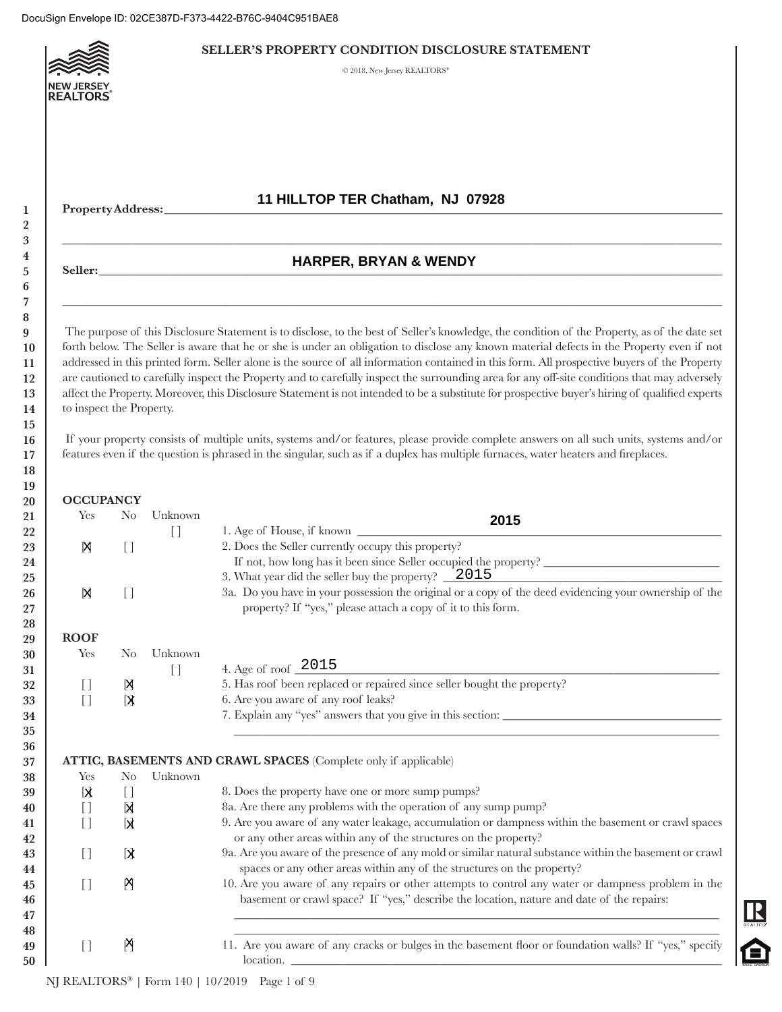

#### **SELLER'S PROPERTY CONDITION DISCLOSURE STATEMENT**

© 2018, New Jersey REALTORS®

# **11 HILLTOP TER Chatham, NJ 07928**

# **Property Address:** \_\_\_\_\_\_\_\_\_\_\_\_\_\_\_\_\_\_\_\_\_\_\_\_\_\_\_\_\_\_\_\_\_\_\_\_\_\_\_\_\_\_\_\_\_\_\_\_\_\_\_\_\_\_\_\_\_\_\_\_\_\_\_\_\_\_\_\_\_\_\_\_\_\_\_\_\_\_\_\_\_\_\_\_\_\_\_\_\_\_\_\_

#### **Seller:** \_\_\_\_\_\_\_\_\_\_\_\_\_\_\_\_\_\_\_\_\_\_\_\_\_\_\_\_\_\_\_\_\_\_\_\_\_\_\_\_\_\_\_\_\_\_\_\_\_\_\_\_\_\_\_\_\_\_\_\_\_\_\_\_\_\_\_\_\_\_\_\_\_\_\_\_\_\_\_\_\_\_\_\_\_\_\_\_\_\_\_\_\_\_\_\_\_\_\_\_\_\_\_ **HARPER, BRYAN & WENDY**

 $\_$  , and the set of the set of the set of the set of the set of the set of the set of the set of the set of the set of the set of the set of the set of the set of the set of the set of the set of the set of the set of th

 $\_$  , and the set of the set of the set of the set of the set of the set of the set of the set of the set of the set of the set of the set of the set of the set of the set of the set of the set of the set of the set of th

 The purpose of this Disclosure Statement is to disclose, to the best of Seller's knowledge, the condition of the Property, as of the date set forth below. The Seller is aware that he or she is under an obligation to disclose any known material defects in the Property even if not addressed in this printed form. Seller alone is the source of all information contained in this form. All prospective buyers of the Property are cautioned to carefully inspect the Property and to carefully inspect the surrounding area for any off-site conditions that may adversely affect the Property. Moreover, this Disclosure Statement is not intended to be a substitute for prospective buyer's hiring of qualified experts to inspect the Property.

 If your property consists of multiple units, systems and/or features, please provide complete answers on all such units, systems and/or features even if the question is phrased in the singular, such as if a duplex has multiple furnaces, water heaters and fireplaces.

| 0                | <b>OCCUPANCY</b>                       |                                        |                                        |                                                                                                                                                                        |
|------------------|----------------------------------------|----------------------------------------|----------------------------------------|------------------------------------------------------------------------------------------------------------------------------------------------------------------------|
| :1               | Yes                                    | $\rm No$                               | Unknown                                | 2015                                                                                                                                                                   |
| $\overline{2}$   |                                        |                                        | $\begin{array}{c} \square \end{array}$ | 1. Age of House, if known                                                                                                                                              |
| $\mathbf{3}$     | 冈                                      | $[$                                    |                                        | 2. Does the Seller currently occupy this property?                                                                                                                     |
| $\overline{4}$   |                                        |                                        |                                        |                                                                                                                                                                        |
| :5               |                                        |                                        |                                        | 3. What year did the seller buy the property? $\angle 2015$                                                                                                            |
| 6<br>$\cdot$ 7   | 冈                                      | $[ \ ]$                                |                                        | 3a. Do you have in your possession the original or a copy of the deed evidencing your ownership of the<br>property? If "yes," please attach a copy of it to this form. |
| 8                |                                        |                                        |                                        |                                                                                                                                                                        |
| 9                | <b>ROOF</b>                            |                                        |                                        |                                                                                                                                                                        |
| $\bf{0}$         | Yes                                    | N <sub>0</sub>                         | Unknown                                |                                                                                                                                                                        |
| я.               |                                        |                                        | $[$                                    | 4. Age of roof $\_2015$                                                                                                                                                |
| $2^{\circ}$      | $[ \ ]$                                | 冈                                      |                                        | 5. Has roof been replaced or repaired since seller bought the property?                                                                                                |
| 13               | $[$                                    | $\mathbf k$                            |                                        | 6. Are you aware of any roof leaks?                                                                                                                                    |
| $\frac{1}{4}$    |                                        |                                        |                                        |                                                                                                                                                                        |
| $5^{\circ}$      |                                        |                                        |                                        |                                                                                                                                                                        |
| 6                |                                        |                                        |                                        |                                                                                                                                                                        |
| 17               |                                        |                                        |                                        | ATTIC, BASEMENTS AND CRAWL SPACES (Complete only if applicable)                                                                                                        |
| 8                | Yes                                    | $\rm No$                               | Unknown                                |                                                                                                                                                                        |
| 89               | k                                      | $\begin{array}{c} \square \end{array}$ |                                        | 8. Does the property have one or more sump pumps?                                                                                                                      |
| 0                | $[ \ ]$                                | Ŋ                                      |                                        | 8a. Are there any problems with the operation of any sump pump?                                                                                                        |
| 1                | $[ ]$                                  | Ы                                      |                                        | 9. Are you aware of any water leakage, accumulation or dampness within the basement or crawl spaces                                                                    |
| $\overline{2}$   |                                        |                                        |                                        | or any other areas within any of the structures on the property?                                                                                                       |
| 3                | $\begin{array}{c} \square \end{array}$ | k                                      |                                        | 9a. Are you aware of the presence of any mold or similar natural substance within the basement or crawl                                                                |
| 4                |                                        |                                        |                                        | spaces or any other areas within any of the structures on the property?                                                                                                |
| 5                | $[$                                    | 점                                      |                                        | 10. Are you aware of any repairs or other attempts to control any water or dampness problem in the                                                                     |
|                  |                                        |                                        |                                        |                                                                                                                                                                        |
|                  |                                        |                                        |                                        | basement or crawl space? If "yes," describe the location, nature and date of the repairs:                                                                              |
|                  |                                        |                                        |                                        |                                                                                                                                                                        |
|                  |                                        |                                        |                                        |                                                                                                                                                                        |
| 6<br>7<br>8<br>9 | $[$                                    | 附                                      |                                        | 11. Are you aware of any cracks or bulges in the basement floor or foundation walls? If "yes," specify                                                                 |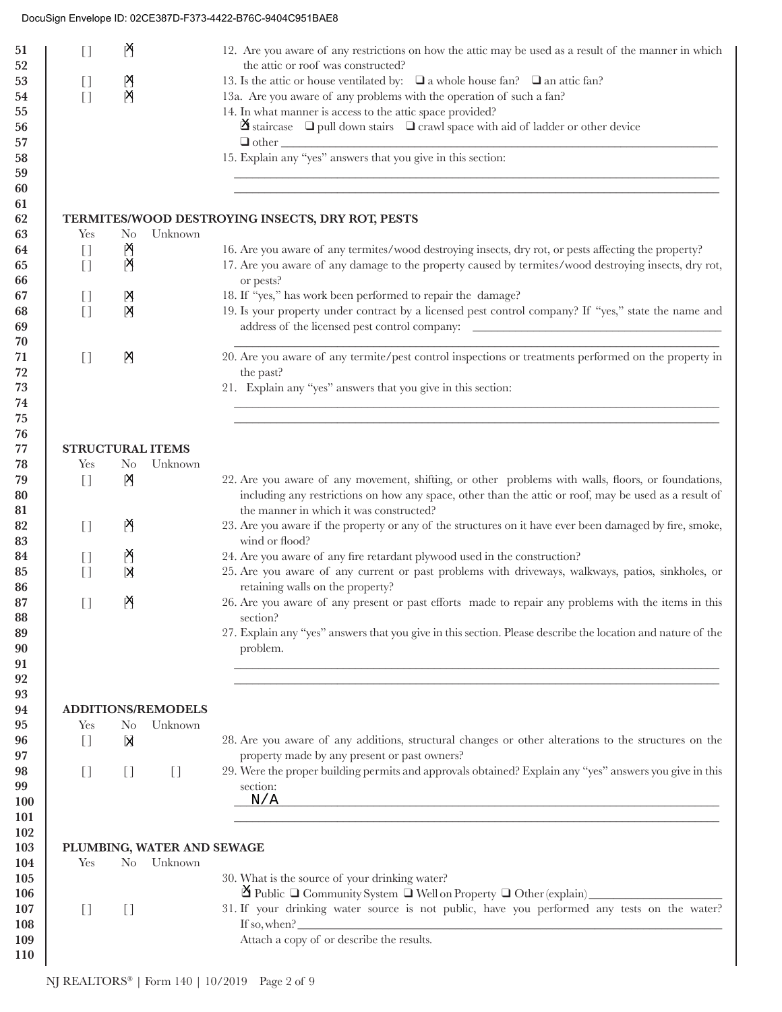| $\begin{array}{c} \square \end{array}$ | PF                                |                                   | 12. Are you aware of any restrictions on how the attic may be used as a result of the manner in which                                                     |
|----------------------------------------|-----------------------------------|-----------------------------------|-----------------------------------------------------------------------------------------------------------------------------------------------------------|
|                                        |                                   |                                   | the attic or roof was constructed?                                                                                                                        |
| $\begin{array}{c} \square \end{array}$ | 图                                 |                                   | 13. Is the attic or house ventilated by: $\Box$ a whole house fan? $\Box$ an attic fan?                                                                   |
| $\begin{bmatrix} 1 \end{bmatrix}$      | 内                                 |                                   | 13a. Are you aware of any problems with the operation of such a fan?                                                                                      |
|                                        |                                   |                                   | 14. In what manner is access to the attic space provided?                                                                                                 |
|                                        |                                   |                                   | $\mathfrak A$ staircase $\Box$ pull down stairs $\Box$ crawl space with aid of ladder or other device                                                     |
|                                        |                                   |                                   | $\hfill\Box$ other $\hfill\Box$<br>15. Explain any "yes" answers that you give in this section:                                                           |
|                                        |                                   |                                   |                                                                                                                                                           |
|                                        |                                   |                                   |                                                                                                                                                           |
|                                        |                                   |                                   |                                                                                                                                                           |
|                                        |                                   |                                   | TERMITES/WOOD DESTROYING INSECTS, DRY ROT, PESTS                                                                                                          |
| Yes                                    | N <sub>o</sub>                    | Unknown                           |                                                                                                                                                           |
| $[ \ ]$                                | P                                 |                                   | 16. Are you aware of any termites/wood destroying insects, dry rot, or pests affecting the property?                                                      |
| $\begin{bmatrix} 1 \end{bmatrix}$      | P                                 |                                   | 17. Are you aware of any damage to the property caused by termites/wood destroying insects, dry rot,                                                      |
|                                        |                                   |                                   | or pests?                                                                                                                                                 |
| $\begin{array}{c} \square \end{array}$ | Ŋ                                 |                                   | 18. If "yes," has work been performed to repair the damage?                                                                                               |
| $\begin{bmatrix} 1 \end{bmatrix}$      | Ŋ                                 |                                   | 19. Is your property under contract by a licensed pest control company? If "yes," state the name and                                                      |
|                                        |                                   |                                   |                                                                                                                                                           |
|                                        |                                   |                                   |                                                                                                                                                           |
| $\begin{array}{c} \square \end{array}$ | 内                                 |                                   | 20. Are you aware of any termite/pest control inspections or treatments performed on the property in                                                      |
|                                        |                                   |                                   | the past?                                                                                                                                                 |
|                                        |                                   |                                   | 21. Explain any "yes" answers that you give in this section:                                                                                              |
|                                        |                                   |                                   |                                                                                                                                                           |
|                                        |                                   |                                   |                                                                                                                                                           |
|                                        |                                   |                                   |                                                                                                                                                           |
| <b>STRUCTURAL ITEMS</b><br>Yes         | N <sub>o</sub>                    | Unknown                           |                                                                                                                                                           |
| $\begin{bmatrix} 1 \end{bmatrix}$      |                                   |                                   | 22. Are you aware of any movement, shifting, or other problems with walls, floors, or foundations,                                                        |
|                                        | Ŋ                                 |                                   | including any restrictions on how any space, other than the attic or roof, may be used as a result of                                                     |
|                                        |                                   |                                   | the manner in which it was constructed?                                                                                                                   |
| $\begin{bmatrix} 1 \end{bmatrix}$      | M                                 |                                   | 23. Are you aware if the property or any of the structures on it have ever been damaged by fire, smoke,                                                   |
|                                        |                                   |                                   | wind or flood?                                                                                                                                            |
|                                        | M                                 |                                   | 24. Are you aware of any fire retardant plywood used in the construction?                                                                                 |
| $[ \ ]$                                | 冈                                 |                                   | 25. Are you aware of any current or past problems with driveways, walkways, patios, sinkholes, or                                                         |
|                                        |                                   |                                   | retaining walls on the property?                                                                                                                          |
| $\begin{bmatrix} 1 \end{bmatrix}$      | 연                                 |                                   | 26. Are you aware of any present or past efforts made to repair any problems with the items in this<br>section?                                           |
|                                        |                                   |                                   | 27. Explain any "yes" answers that you give in this section. Please describe the location and nature of the                                               |
|                                        |                                   |                                   | problem.                                                                                                                                                  |
|                                        |                                   |                                   | and the control of the control of the control of the control of the control of the control of the control of the                                          |
|                                        |                                   |                                   |                                                                                                                                                           |
|                                        |                                   |                                   |                                                                                                                                                           |
|                                        |                                   |                                   |                                                                                                                                                           |
|                                        |                                   | <b>ADDITIONS/REMODELS</b>         |                                                                                                                                                           |
| Yes                                    | No                                | Unknown                           |                                                                                                                                                           |
| $[$                                    | И                                 |                                   |                                                                                                                                                           |
|                                        |                                   |                                   | 28. Are you aware of any additions, structural changes or other alterations to the structures on the<br>property made by any present or past owners?      |
| $[ \ ]$                                | $\begin{bmatrix} 1 \end{bmatrix}$ | $\begin{bmatrix} 1 \end{bmatrix}$ |                                                                                                                                                           |
|                                        |                                   |                                   | section:                                                                                                                                                  |
|                                        |                                   |                                   | $N/\underline{A}$                                                                                                                                         |
|                                        |                                   |                                   |                                                                                                                                                           |
|                                        |                                   |                                   |                                                                                                                                                           |
|                                        |                                   | PLUMBING, WATER AND SEWAGE        |                                                                                                                                                           |
| Yes                                    | N <sub>o</sub>                    | Unknown                           |                                                                                                                                                           |
|                                        |                                   |                                   | 29. Were the proper building permits and approvals obtained? Explain any "yes" answers you give in this<br>30. What is the source of your drinking water? |
|                                        |                                   |                                   | ⊠ Public □ Community System □ Well on Property □ Other (explain)                                                                                          |
| $[ \ ]$                                | $[ \ ]$                           |                                   | 31. If your drinking water source is not public, have you performed any tests on the water?                                                               |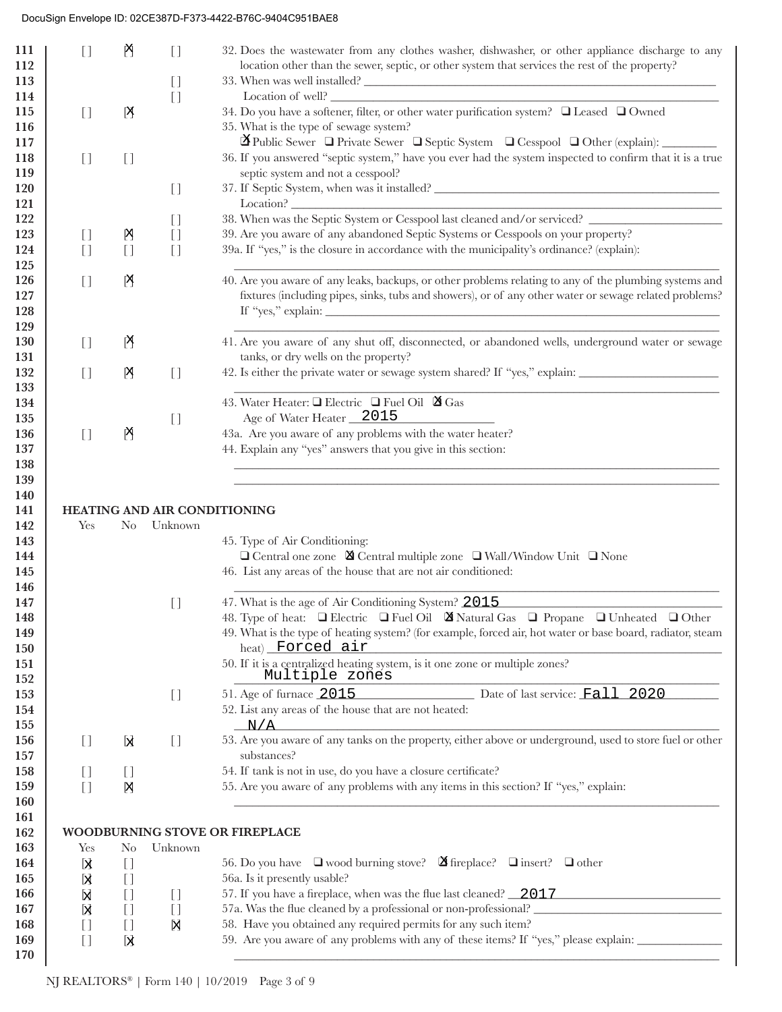| 111<br>112<br>113 | $[ \ ]$                                                                     | 附                                           | $[ \ ]$<br>$\begin{array}{c} \square \end{array}$ | 32. Does the wastewater from any clothes washer, dishwasher, or other appliance discharge to any<br>location other than the sewer, septic, or other system that services the rest of the property?<br>33. When was well installed? |
|-------------------|-----------------------------------------------------------------------------|---------------------------------------------|---------------------------------------------------|------------------------------------------------------------------------------------------------------------------------------------------------------------------------------------------------------------------------------------|
| 114               |                                                                             |                                             | $[ \ ]$                                           | Location of well?                                                                                                                                                                                                                  |
| 115<br>116        | $[ \ ]$                                                                     | [X]                                         |                                                   | 34. Do you have a softener, filter, or other water purification system? I Leased I Owned<br>35. What is the type of sewage system?                                                                                                 |
| 117               |                                                                             |                                             |                                                   | $\Delta$ Public Sewer $\Box$ Private Sewer $\Box$ Septic System $\Box$ Cesspool $\Box$ Other (explain):                                                                                                                            |
| 118               | $\begin{array}{c} \square \end{array}$                                      | $\begin{bmatrix} 1 \end{bmatrix}$           |                                                   | 36. If you answered "septic system," have you ever had the system inspected to confirm that it is a true                                                                                                                           |
| 119               |                                                                             |                                             |                                                   | septic system and not a cesspool?                                                                                                                                                                                                  |
| 120               |                                                                             |                                             | $\begin{array}{c} \square \end{array}$            | 37. If Septic System, when was it installed?                                                                                                                                                                                       |
| 121               |                                                                             |                                             |                                                   | <u> 1989 - Johann Stein, fransk politik (d. 1989)</u><br>38. When was the Septic System or Cesspool last cleaned and/or serviced?                                                                                                  |
| 122               |                                                                             |                                             | $\begin{array}{c} \square \end{array}$            | 39. Are you aware of any abandoned Septic Systems or Cesspools on your property?                                                                                                                                                   |
| 123<br>124        | $\begin{array}{c} \square \end{array}$<br>$\begin{bmatrix} 1 \end{bmatrix}$ | 점                                           | $[ \ ]$<br>$[ \ ]$                                | 39a. If "yes," is the closure in accordance with the municipality's ordinance? (explain):                                                                                                                                          |
| 125               |                                                                             | $[ \ ]$                                     |                                                   |                                                                                                                                                                                                                                    |
| 126               | $[ \ ]$                                                                     | Ŋ                                           |                                                   | 40. Are you aware of any leaks, backups, or other problems relating to any of the plumbing systems and                                                                                                                             |
| 127               |                                                                             |                                             |                                                   | fixtures (including pipes, sinks, tubs and showers), or of any other water or sewage related problems?                                                                                                                             |
| 128               |                                                                             |                                             |                                                   | If "yes," explain: $\_\_$                                                                                                                                                                                                          |
| 129               |                                                                             |                                             |                                                   |                                                                                                                                                                                                                                    |
| 130               | $\begin{array}{c} \square \end{array}$                                      | 짐                                           |                                                   | 41. Are you aware of any shut off, disconnected, or abandoned wells, underground water or sewage                                                                                                                                   |
| 131               |                                                                             |                                             |                                                   | tanks, or dry wells on the property?                                                                                                                                                                                               |
| 132               | $[ \ ]$                                                                     | Ŋ                                           | $[$                                               | 42. Is either the private water or sewage system shared? If "yes," explain:                                                                                                                                                        |
| 133               |                                                                             |                                             |                                                   |                                                                                                                                                                                                                                    |
| 134               |                                                                             |                                             |                                                   | 43. Water Heater: □ Electric □ Fuel Oil ■ Gas<br>Age of Water Heater 2015                                                                                                                                                          |
| 135<br>136        | $[ \ ]$                                                                     | 연                                           | $\begin{array}{c} \square \end{array}$            | 43a. Are you aware of any problems with the water heater?                                                                                                                                                                          |
| 137               |                                                                             |                                             |                                                   | 44. Explain any "yes" answers that you give in this section:                                                                                                                                                                       |
| 138               |                                                                             |                                             |                                                   |                                                                                                                                                                                                                                    |
| 139               |                                                                             |                                             |                                                   |                                                                                                                                                                                                                                    |
| 140               |                                                                             |                                             |                                                   |                                                                                                                                                                                                                                    |
| 141               |                                                                             |                                             |                                                   |                                                                                                                                                                                                                                    |
|                   |                                                                             |                                             |                                                   | HEATING AND AIR CONDITIONING                                                                                                                                                                                                       |
| 142               | Yes                                                                         | $\rm No$                                    | Unknown                                           |                                                                                                                                                                                                                                    |
| 143               |                                                                             |                                             |                                                   | 45. Type of Air Conditioning:                                                                                                                                                                                                      |
| 144               |                                                                             |                                             |                                                   | $\Box$ Central one zone $\boxtimes$ Central multiple zone $\Box$ Wall/Window Unit $\Box$ None                                                                                                                                      |
| 145               |                                                                             |                                             |                                                   | 46. List any areas of the house that are not air conditioned:                                                                                                                                                                      |
| 146               |                                                                             |                                             |                                                   |                                                                                                                                                                                                                                    |
| 147<br>148        |                                                                             |                                             | $\begin{array}{c} \square \end{array}$            | 47. What is the age of Air Conditioning System? 2015<br>48. Type of heat: I Electric I Fuel Oil X Natural Gas I Propane I Unheated I Other                                                                                         |
| 149               |                                                                             |                                             |                                                   | 49. What is the type of heating system? (for example, forced air, hot water or base board, radiator, steam                                                                                                                         |
| <b>150</b>        |                                                                             |                                             |                                                   | heat) Forced air                                                                                                                                                                                                                   |
| 151               |                                                                             |                                             |                                                   | 50. If it is a centralized heating system, is it one zone or multiple zones?                                                                                                                                                       |
| 152               |                                                                             |                                             |                                                   | Multiple zones                                                                                                                                                                                                                     |
| 153               |                                                                             |                                             | $\begin{array}{c} \square \end{array}$            | 51. Age of furnace 2015 Date of last service: Fall 2020                                                                                                                                                                            |
| 154               |                                                                             |                                             |                                                   | 52. List any areas of the house that are not heated:                                                                                                                                                                               |
| 155               |                                                                             |                                             |                                                   | $-N/A$                                                                                                                                                                                                                             |
| 156               | $[ \ ]$                                                                     | Ы                                           | $\begin{array}{c} \square \end{array}$            | 53. Are you aware of any tanks on the property, either above or underground, used to store fuel or other                                                                                                                           |
| 157<br>158        |                                                                             |                                             |                                                   | substances?                                                                                                                                                                                                                        |
| 159               | $\begin{bmatrix} 1 \end{bmatrix}$<br>$[$                                    | $\begin{array}{c} \square \end{array}$<br>冈 |                                                   | 54. If tank is not in use, do you have a closure certificate?<br>55. Are you aware of any problems with any items in this section? If "yes," explain:                                                                              |
| <b>160</b>        |                                                                             |                                             |                                                   |                                                                                                                                                                                                                                    |
| 161               |                                                                             |                                             |                                                   |                                                                                                                                                                                                                                    |
| 162               |                                                                             |                                             |                                                   | WOODBURNING STOVE OR FIREPLACE                                                                                                                                                                                                     |
| 163               | Yes                                                                         | $\rm No$                                    | Unknown                                           |                                                                                                                                                                                                                                    |
| 164               | 区                                                                           | $\begin{array}{c} \square \end{array}$      |                                                   | 56. Do you have $\Box$ wood burning stove? $\Box$ fireplace? $\Box$ insert? $\Box$ other                                                                                                                                           |
| 165               | kļ                                                                          | $\begin{array}{c} \square \end{array}$      |                                                   | 56a. Is it presently usable?                                                                                                                                                                                                       |
| 166               | Ы                                                                           | $[ \ ]$                                     | $\begin{bmatrix} 1 \end{bmatrix}$                 | 57. If you have a fireplace, when was the flue last cleaned? 2017                                                                                                                                                                  |
| 167               | Ŋ                                                                           | $[ \ ]$                                     | $[ \ ]$                                           | 57a. Was the flue cleaned by a professional or non-professional?                                                                                                                                                                   |
| 168<br>169        | $[ \ ]$<br>$[ \ ]$                                                          | $[ \ ]$<br>k                                | X                                                 | 58. Have you obtained any required permits for any such item?<br>59. Are you aware of any problems with any of these items? If "yes," please explain:                                                                              |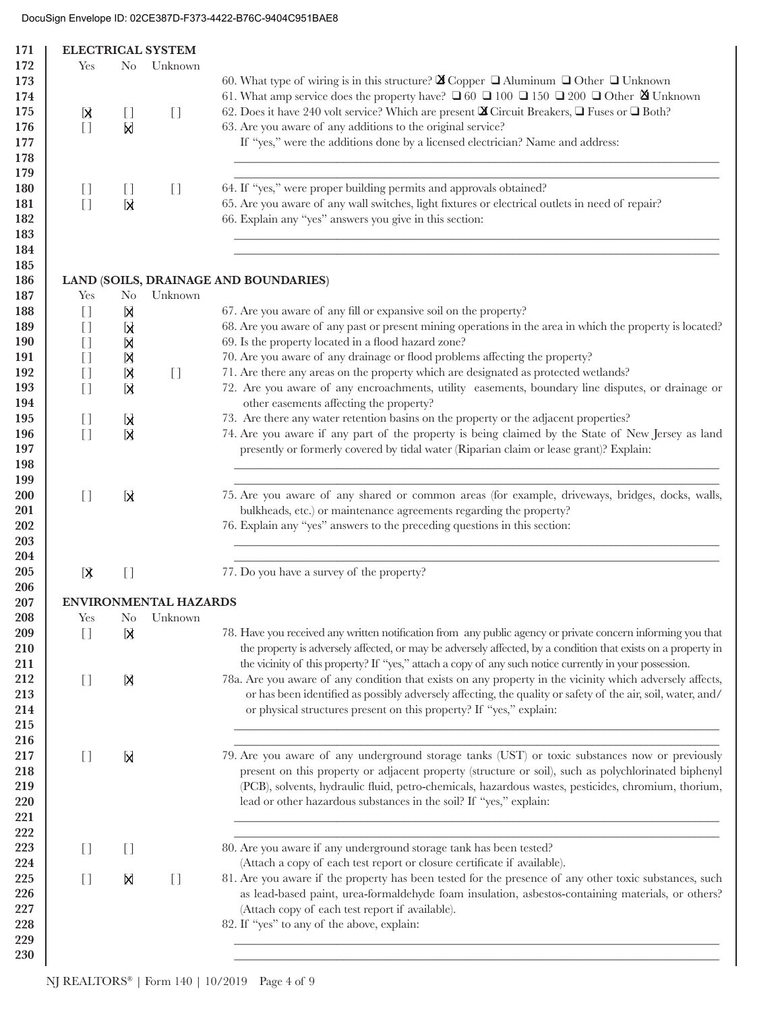| 171        |                                   |                                                                                                                                                                                                                                                                                                                                                                      | <b>ELECTRICAL SYSTEM</b>               |                                                                                                                       |
|------------|-----------------------------------|----------------------------------------------------------------------------------------------------------------------------------------------------------------------------------------------------------------------------------------------------------------------------------------------------------------------------------------------------------------------|----------------------------------------|-----------------------------------------------------------------------------------------------------------------------|
| 172        | Yes                               | No.                                                                                                                                                                                                                                                                                                                                                                  | Unknown                                |                                                                                                                       |
| 173        |                                   |                                                                                                                                                                                                                                                                                                                                                                      |                                        | 60. What type of wiring is in this structure? $\boxtimes$ Copper $\Box$ Aluminum $\Box$ Other $\Box$ Unknown          |
| 174        |                                   |                                                                                                                                                                                                                                                                                                                                                                      |                                        | 61. What amp service does the property have? □ 60 □ 100 □ 150 □ 200 □ Other ⊠ Unknown                                 |
| 175        |                                   | $[ \ ]$                                                                                                                                                                                                                                                                                                                                                              | $[$                                    | 62. Does it have 240 volt service? Which are present $\mathbf{\Sigma}$ Circuit Breakers, $\Box$ Fuses or $\Box$ Both? |
| 176        | 区<br>$[ ]$                        |                                                                                                                                                                                                                                                                                                                                                                      |                                        | 63. Are you aware of any additions to the original service?                                                           |
|            |                                   | Ы                                                                                                                                                                                                                                                                                                                                                                    |                                        |                                                                                                                       |
| 177        |                                   |                                                                                                                                                                                                                                                                                                                                                                      |                                        | If "yes," were the additions done by a licensed electrician? Name and address:                                        |
| 178        |                                   |                                                                                                                                                                                                                                                                                                                                                                      |                                        |                                                                                                                       |
| 179        |                                   |                                                                                                                                                                                                                                                                                                                                                                      |                                        |                                                                                                                       |
| <b>180</b> | $\begin{bmatrix} 1 \end{bmatrix}$ | U                                                                                                                                                                                                                                                                                                                                                                    | $\begin{array}{c} \square \end{array}$ | 64. If "yes," were proper building permits and approvals obtained?                                                    |
| 181        | $[$                               | K                                                                                                                                                                                                                                                                                                                                                                    |                                        | 65. Are you aware of any wall switches, light fixtures or electrical outlets in need of repair?                       |
| 182        |                                   |                                                                                                                                                                                                                                                                                                                                                                      |                                        | 66. Explain any "yes" answers you give in this section:                                                               |
| 183        |                                   |                                                                                                                                                                                                                                                                                                                                                                      |                                        |                                                                                                                       |
| 184        |                                   |                                                                                                                                                                                                                                                                                                                                                                      |                                        |                                                                                                                       |
| 185        |                                   |                                                                                                                                                                                                                                                                                                                                                                      |                                        |                                                                                                                       |
| 186        |                                   |                                                                                                                                                                                                                                                                                                                                                                      |                                        | LAND (SOILS, DRAINAGE AND BOUNDARIES)                                                                                 |
| 187        | Yes                               | N <sub>o</sub>                                                                                                                                                                                                                                                                                                                                                       | Unknown                                |                                                                                                                       |
| 188        | $[ \ ]$                           | Ŋ                                                                                                                                                                                                                                                                                                                                                                    |                                        | 67. Are you aware of any fill or expansive soil on the property?                                                      |
| 189        | $[ \ ]$                           | k                                                                                                                                                                                                                                                                                                                                                                    |                                        | 68. Are you aware of any past or present mining operations in the area in which the property is located?              |
| <b>190</b> | $[ \ ]$                           | Ŋ                                                                                                                                                                                                                                                                                                                                                                    |                                        | 69. Is the property located in a flood hazard zone?                                                                   |
| 191        | $[ \ ]$                           | Ŋ                                                                                                                                                                                                                                                                                                                                                                    |                                        | 70. Are you aware of any drainage or flood problems affecting the property?                                           |
| 192        |                                   |                                                                                                                                                                                                                                                                                                                                                                      |                                        | 71. Are there any areas on the property which are designated as protected wetlands?                                   |
|            | $[ \ ]$                           | N                                                                                                                                                                                                                                                                                                                                                                    | $\begin{array}{c} \square \end{array}$ |                                                                                                                       |
| 193        | $\lceil$                          | <b>N</b>                                                                                                                                                                                                                                                                                                                                                             |                                        | 72. Are you aware of any encroachments, utility easements, boundary line disputes, or drainage or                     |
| 194        |                                   |                                                                                                                                                                                                                                                                                                                                                                      |                                        | other easements affecting the property?                                                                               |
| 195        | $\begin{bmatrix} 1 \end{bmatrix}$ | Ы                                                                                                                                                                                                                                                                                                                                                                    |                                        | 73. Are there any water retention basins on the property or the adjacent properties?                                  |
| 196        | $[ \ ]$                           | Ы                                                                                                                                                                                                                                                                                                                                                                    |                                        | 74. Are you aware if any part of the property is being claimed by the State of New Jersey as land                     |
| 197        |                                   |                                                                                                                                                                                                                                                                                                                                                                      |                                        | presently or formerly covered by tidal water (Riparian claim or lease grant)? Explain:                                |
| 198        |                                   |                                                                                                                                                                                                                                                                                                                                                                      |                                        |                                                                                                                       |
| 199        |                                   |                                                                                                                                                                                                                                                                                                                                                                      |                                        |                                                                                                                       |
| 200        | $[ \ ]$                           | $\mathbf{A}$                                                                                                                                                                                                                                                                                                                                                         |                                        | 75. Are you aware of any shared or common areas (for example, driveways, bridges, docks, walls,                       |
| 201        |                                   |                                                                                                                                                                                                                                                                                                                                                                      |                                        | bulkheads, etc.) or maintenance agreements regarding the property?                                                    |
| 202        |                                   |                                                                                                                                                                                                                                                                                                                                                                      |                                        | 76. Explain any "yes" answers to the preceding questions in this section:                                             |
| 203        |                                   |                                                                                                                                                                                                                                                                                                                                                                      |                                        |                                                                                                                       |
| 204        |                                   |                                                                                                                                                                                                                                                                                                                                                                      |                                        |                                                                                                                       |
| 205        | $\mathbf k$                       | $\begin{array}{c} \square \end{array}$                                                                                                                                                                                                                                                                                                                               |                                        | 77. Do you have a survey of the property?                                                                             |
| 206        |                                   |                                                                                                                                                                                                                                                                                                                                                                      |                                        |                                                                                                                       |
| 207        |                                   |                                                                                                                                                                                                                                                                                                                                                                      | <b>ENVIRONMENTAL HAZARDS</b>           |                                                                                                                       |
| 208        | Yes                               |                                                                                                                                                                                                                                                                                                                                                                      | No Unknown                             |                                                                                                                       |
| 209        | $[ \ ]$                           |                                                                                                                                                                                                                                                                                                                                                                      |                                        | 78. Have you received any written notification from any public agency or private concern informing you that           |
|            |                                   | X                                                                                                                                                                                                                                                                                                                                                                    |                                        |                                                                                                                       |
| 210        |                                   |                                                                                                                                                                                                                                                                                                                                                                      |                                        | the property is adversely affected, or may be adversely affected, by a condition that exists on a property in         |
| 211        |                                   |                                                                                                                                                                                                                                                                                                                                                                      |                                        | the vicinity of this property? If "yes," attach a copy of any such notice currently in your possession.               |
| 212        | $[$                               | X                                                                                                                                                                                                                                                                                                                                                                    |                                        | 78a. Are you aware of any condition that exists on any property in the vicinity which adversely affects,              |
| 213        |                                   |                                                                                                                                                                                                                                                                                                                                                                      |                                        | or has been identified as possibly adversely affecting, the quality or safety of the air, soil, water, and/           |
| 214        |                                   |                                                                                                                                                                                                                                                                                                                                                                      |                                        | or physical structures present on this property? If "yes," explain:                                                   |
| 215        |                                   |                                                                                                                                                                                                                                                                                                                                                                      |                                        |                                                                                                                       |
| 216        |                                   |                                                                                                                                                                                                                                                                                                                                                                      |                                        |                                                                                                                       |
| 217        | $[ \ ]$                           | Ы                                                                                                                                                                                                                                                                                                                                                                    |                                        | 79. Are you aware of any underground storage tanks (UST) or toxic substances now or previously                        |
| 218        |                                   |                                                                                                                                                                                                                                                                                                                                                                      |                                        | present on this property or adjacent property (structure or soil), such as polychlorinated biphenyl                   |
| 219        |                                   |                                                                                                                                                                                                                                                                                                                                                                      |                                        | (PCB), solvents, hydraulic fluid, petro-chemicals, hazardous wastes, pesticides, chromium, thorium,                   |
| 220        |                                   |                                                                                                                                                                                                                                                                                                                                                                      |                                        | lead or other hazardous substances in the soil? If "yes," explain:                                                    |
| 221        |                                   |                                                                                                                                                                                                                                                                                                                                                                      |                                        |                                                                                                                       |
| 222        |                                   |                                                                                                                                                                                                                                                                                                                                                                      |                                        |                                                                                                                       |
| 223        | $[ \ ]$                           | $[] \centering \includegraphics[width=0.47\textwidth]{images/TransY_1.png} \caption{The first two different values of $100$ K, $100$ K, $100$ K, $100$ K, $100$ K, $100$ K, $100$ K, $100$ K, $100$ K, $100$ K, $100$ K, $100$ K, $100$ K, $100$ K, $100$ K, $100$ K, $100$ K, $100$ K, $100$ K, $100$ K, $100$ K, $100$ K, $100$ K, $100$ K, $100$ K, $100$ K, $10$ |                                        | 80. Are you aware if any underground storage tank has been tested?                                                    |
| 224        |                                   |                                                                                                                                                                                                                                                                                                                                                                      |                                        | (Attach a copy of each test report or closure certificate if available).                                              |
|            |                                   |                                                                                                                                                                                                                                                                                                                                                                      |                                        | 81. Are you aware if the property has been tested for the presence of any other toxic substances, such                |
| 225        | $[ \ ]$                           | X                                                                                                                                                                                                                                                                                                                                                                    | $[$                                    |                                                                                                                       |
| 226        |                                   |                                                                                                                                                                                                                                                                                                                                                                      |                                        | as lead-based paint, urea-formaldehyde foam insulation, asbestos-containing materials, or others?                     |
| 227        |                                   |                                                                                                                                                                                                                                                                                                                                                                      |                                        | (Attach copy of each test report if available).                                                                       |
| 228        |                                   |                                                                                                                                                                                                                                                                                                                                                                      |                                        | 82. If "yes" to any of the above, explain:                                                                            |
| 229        |                                   |                                                                                                                                                                                                                                                                                                                                                                      |                                        |                                                                                                                       |
| 230        |                                   |                                                                                                                                                                                                                                                                                                                                                                      |                                        |                                                                                                                       |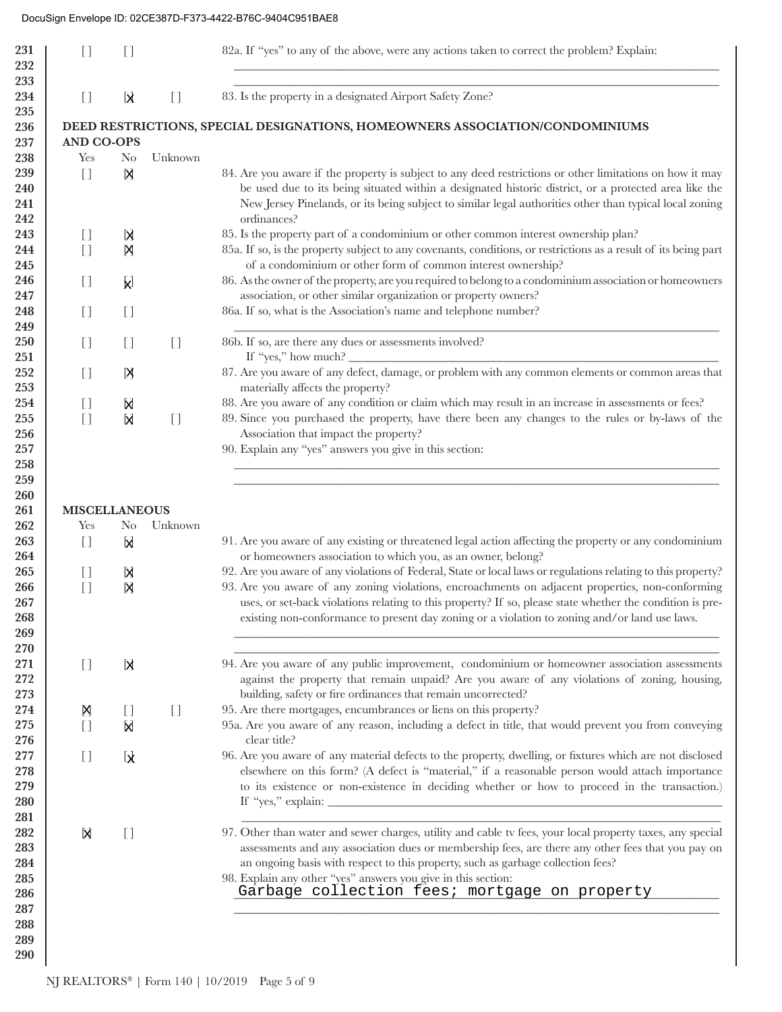| 83. Is the property in a designated Airport Safety Zone?<br>234<br>$[ \ ]$<br>k<br>$\begin{array}{c} \square \end{array}$<br>235<br>236<br>DEED RESTRICTIONS, SPECIAL DESIGNATIONS, HOMEOWNERS ASSOCIATION/CONDOMINIUMS<br><b>AND CO-OPS</b><br>237<br>Unknown<br>238<br>Yes<br>N <sub>0</sub><br>239<br>И<br>84. Are you aware if the property is subject to any deed restrictions or other limitations on how it may<br>$[ \ ]$<br>be used due to its being situated within a designated historic district, or a protected area like the<br>240<br>New Jersey Pinelands, or its being subject to similar legal authorities other than typical local zoning<br>241<br>ordinances?<br>242<br>243<br>85. Is the property part of a condominium or other common interest ownership plan?<br>$\begin{bmatrix} 1 \end{bmatrix}$<br>X<br>85a. If so, is the property subject to any covenants, conditions, or restrictions as a result of its being part<br>$[ \ ]$<br>244<br>Ŋ<br>of a condominium or other form of common interest ownership?<br>245<br>86. As the owner of the property, are you required to belong to a condominium association or homeowners<br>246<br>$\begin{bmatrix} 1 \end{bmatrix}$<br>Į,<br>association, or other similar organization or property owners?<br>247<br>86a. If so, what is the Association's name and telephone number?<br>248<br>$[ \ ]$<br>$\begin{array}{c} \square \end{array}$<br>249<br>86b. If so, are there any dues or assessments involved?<br>250<br>$[ \ ]$<br>$\begin{bmatrix} 1 \end{bmatrix}$<br>$[ \ ]$<br>If "yes," how much? $\frac{1}{\sqrt{1-\frac{1}{2}}}\left\{\frac{1}{\sqrt{1-\frac{1}{2}}}\right\}$<br>251<br>87. Are you aware of any defect, damage, or problem with any common elements or common areas that<br>252<br>$[ \ ]$<br>冈<br>materially affects the property?<br>253<br>88. Are you aware of any condition or claim which may result in an increase in assessments or fees?<br>254<br>$\begin{array}{c} \square \end{array}$<br>X<br>89. Since you purchased the property, have there been any changes to the rules or by-laws of the<br>255<br>$[ ]$<br>Ы<br>$\begin{array}{c} \square \end{array}$<br>Association that impact the property?<br>256<br>90. Explain any "yes" answers you give in this section:<br>257<br>258<br>259<br>260<br>261<br><b>MISCELLANEOUS</b><br>262<br>Yes<br>Unknown<br>N <sub>0</sub><br>91. Are you aware of any existing or threatened legal action affecting the property or any condominium<br>263<br>K<br>$[ \ ]$<br>or homeowners association to which you, as an owner, belong?<br>264<br>92. Are you aware of any violations of Federal, State or local laws or regulations relating to this property?<br>265<br>$\begin{bmatrix} 1 \end{bmatrix}$<br>Ŋ<br>93. Are you aware of any zoning violations, encroachments on adjacent properties, non-conforming<br>$[ \ ]$<br>266<br>Ŋ<br>uses, or set-back violations relating to this property? If so, please state whether the condition is pre-<br>267<br>268<br>existing non-conformance to present day zoning or a violation to zoning and/or land use laws.<br>269<br>270<br>94. Are you aware of any public improvement, condominium or homeowner association assessments<br>271<br>$\begin{bmatrix} 1 \end{bmatrix}$<br>Ы<br>against the property that remain unpaid? Are you aware of any violations of zoning, housing,<br>272<br>building, safety or fire ordinances that remain uncorrected?<br>273<br>95. Are there mortgages, encumbrances or liens on this property?<br>274<br>Ŋ<br>$\begin{array}{c} \square \end{array}$<br>$[ \ ]$<br>95a. Are you aware of any reason, including a defect in title, that would prevent you from conveying<br>275<br>$[ ]$<br>Ŋ<br>clear title?<br>276<br>96. Are you aware of any material defects to the property, dwelling, or fixtures which are not disclosed<br>277<br>$[ \ ]$<br>$\mathbf{A}$<br>elsewhere on this form? (A defect is "material," if a reasonable person would attach importance<br>278<br>to its existence or non-existence in deciding whether or how to proceed in the transaction.)<br>279<br>280<br>281<br>97. Other than water and sewer charges, utility and cable tv fees, your local property taxes, any special<br>282<br>N<br>$[ \ ]$<br>assessments and any association dues or membership fees, are there any other fees that you pay on<br>283<br>an ongoing basis with respect to this property, such as garbage collection fees?<br>284<br>98. Explain any other "yes" answers you give in this section:<br>285<br>Garbage collection fees; mortgage on property<br>286<br>287<br>288<br>289<br>290 | 231<br>232<br>233 | $[ \ ]$ | I) | 82a. If "yes" to any of the above, were any actions taken to correct the problem? Explain: |
|-------------------------------------------------------------------------------------------------------------------------------------------------------------------------------------------------------------------------------------------------------------------------------------------------------------------------------------------------------------------------------------------------------------------------------------------------------------------------------------------------------------------------------------------------------------------------------------------------------------------------------------------------------------------------------------------------------------------------------------------------------------------------------------------------------------------------------------------------------------------------------------------------------------------------------------------------------------------------------------------------------------------------------------------------------------------------------------------------------------------------------------------------------------------------------------------------------------------------------------------------------------------------------------------------------------------------------------------------------------------------------------------------------------------------------------------------------------------------------------------------------------------------------------------------------------------------------------------------------------------------------------------------------------------------------------------------------------------------------------------------------------------------------------------------------------------------------------------------------------------------------------------------------------------------------------------------------------------------------------------------------------------------------------------------------------------------------------------------------------------------------------------------------------------------------------------------------------------------------------------------------------------------------------------------------------------------------------------------------------------------------------------------------------------------------------------------------------------------------------------------------------------------------------------------------------------------------------------------------------------------------------------------------------------------------------------------------------------------------------------------------------------------------------------------------------------------------------------------------------------------------------------------------------------------------------------------------------------------------------------------------------------------------------------------------------------------------------------------------------------------------------------------------------------------------------------------------------------------------------------------------------------------------------------------------------------------------------------------------------------------------------------------------------------------------------------------------------------------------------------------------------------------------------------------------------------------------------------------------------------------------------------------------------------------------------------------------------------------------------------------------------------------------------------------------------------------------------------------------------------------------------------------------------------------------------------------------------------------------------------------------------------------------------------------------------------------------------------------------------------------------------------------------------------------------------------------------------------------------------------------------------------------------------------------------------------------------------------------------------------------------------------------------------------------------------------------------------------------------------------------------------------------------------------------------------------------------------------------------------------------------------------------------------|-------------------|---------|----|--------------------------------------------------------------------------------------------|
|                                                                                                                                                                                                                                                                                                                                                                                                                                                                                                                                                                                                                                                                                                                                                                                                                                                                                                                                                                                                                                                                                                                                                                                                                                                                                                                                                                                                                                                                                                                                                                                                                                                                                                                                                                                                                                                                                                                                                                                                                                                                                                                                                                                                                                                                                                                                                                                                                                                                                                                                                                                                                                                                                                                                                                                                                                                                                                                                                                                                                                                                                                                                                                                                                                                                                                                                                                                                                                                                                                                                                                                                                                                                                                                                                                                                                                                                                                                                                                                                                                                                                                                                                                                                                                                                                                                                                                                                                                                                                                                                                                                                                                                             |                   |         |    |                                                                                            |
|                                                                                                                                                                                                                                                                                                                                                                                                                                                                                                                                                                                                                                                                                                                                                                                                                                                                                                                                                                                                                                                                                                                                                                                                                                                                                                                                                                                                                                                                                                                                                                                                                                                                                                                                                                                                                                                                                                                                                                                                                                                                                                                                                                                                                                                                                                                                                                                                                                                                                                                                                                                                                                                                                                                                                                                                                                                                                                                                                                                                                                                                                                                                                                                                                                                                                                                                                                                                                                                                                                                                                                                                                                                                                                                                                                                                                                                                                                                                                                                                                                                                                                                                                                                                                                                                                                                                                                                                                                                                                                                                                                                                                                                             |                   |         |    |                                                                                            |
|                                                                                                                                                                                                                                                                                                                                                                                                                                                                                                                                                                                                                                                                                                                                                                                                                                                                                                                                                                                                                                                                                                                                                                                                                                                                                                                                                                                                                                                                                                                                                                                                                                                                                                                                                                                                                                                                                                                                                                                                                                                                                                                                                                                                                                                                                                                                                                                                                                                                                                                                                                                                                                                                                                                                                                                                                                                                                                                                                                                                                                                                                                                                                                                                                                                                                                                                                                                                                                                                                                                                                                                                                                                                                                                                                                                                                                                                                                                                                                                                                                                                                                                                                                                                                                                                                                                                                                                                                                                                                                                                                                                                                                                             |                   |         |    |                                                                                            |
|                                                                                                                                                                                                                                                                                                                                                                                                                                                                                                                                                                                                                                                                                                                                                                                                                                                                                                                                                                                                                                                                                                                                                                                                                                                                                                                                                                                                                                                                                                                                                                                                                                                                                                                                                                                                                                                                                                                                                                                                                                                                                                                                                                                                                                                                                                                                                                                                                                                                                                                                                                                                                                                                                                                                                                                                                                                                                                                                                                                                                                                                                                                                                                                                                                                                                                                                                                                                                                                                                                                                                                                                                                                                                                                                                                                                                                                                                                                                                                                                                                                                                                                                                                                                                                                                                                                                                                                                                                                                                                                                                                                                                                                             |                   |         |    |                                                                                            |
|                                                                                                                                                                                                                                                                                                                                                                                                                                                                                                                                                                                                                                                                                                                                                                                                                                                                                                                                                                                                                                                                                                                                                                                                                                                                                                                                                                                                                                                                                                                                                                                                                                                                                                                                                                                                                                                                                                                                                                                                                                                                                                                                                                                                                                                                                                                                                                                                                                                                                                                                                                                                                                                                                                                                                                                                                                                                                                                                                                                                                                                                                                                                                                                                                                                                                                                                                                                                                                                                                                                                                                                                                                                                                                                                                                                                                                                                                                                                                                                                                                                                                                                                                                                                                                                                                                                                                                                                                                                                                                                                                                                                                                                             |                   |         |    |                                                                                            |
|                                                                                                                                                                                                                                                                                                                                                                                                                                                                                                                                                                                                                                                                                                                                                                                                                                                                                                                                                                                                                                                                                                                                                                                                                                                                                                                                                                                                                                                                                                                                                                                                                                                                                                                                                                                                                                                                                                                                                                                                                                                                                                                                                                                                                                                                                                                                                                                                                                                                                                                                                                                                                                                                                                                                                                                                                                                                                                                                                                                                                                                                                                                                                                                                                                                                                                                                                                                                                                                                                                                                                                                                                                                                                                                                                                                                                                                                                                                                                                                                                                                                                                                                                                                                                                                                                                                                                                                                                                                                                                                                                                                                                                                             |                   |         |    |                                                                                            |
|                                                                                                                                                                                                                                                                                                                                                                                                                                                                                                                                                                                                                                                                                                                                                                                                                                                                                                                                                                                                                                                                                                                                                                                                                                                                                                                                                                                                                                                                                                                                                                                                                                                                                                                                                                                                                                                                                                                                                                                                                                                                                                                                                                                                                                                                                                                                                                                                                                                                                                                                                                                                                                                                                                                                                                                                                                                                                                                                                                                                                                                                                                                                                                                                                                                                                                                                                                                                                                                                                                                                                                                                                                                                                                                                                                                                                                                                                                                                                                                                                                                                                                                                                                                                                                                                                                                                                                                                                                                                                                                                                                                                                                                             |                   |         |    |                                                                                            |
|                                                                                                                                                                                                                                                                                                                                                                                                                                                                                                                                                                                                                                                                                                                                                                                                                                                                                                                                                                                                                                                                                                                                                                                                                                                                                                                                                                                                                                                                                                                                                                                                                                                                                                                                                                                                                                                                                                                                                                                                                                                                                                                                                                                                                                                                                                                                                                                                                                                                                                                                                                                                                                                                                                                                                                                                                                                                                                                                                                                                                                                                                                                                                                                                                                                                                                                                                                                                                                                                                                                                                                                                                                                                                                                                                                                                                                                                                                                                                                                                                                                                                                                                                                                                                                                                                                                                                                                                                                                                                                                                                                                                                                                             |                   |         |    |                                                                                            |
|                                                                                                                                                                                                                                                                                                                                                                                                                                                                                                                                                                                                                                                                                                                                                                                                                                                                                                                                                                                                                                                                                                                                                                                                                                                                                                                                                                                                                                                                                                                                                                                                                                                                                                                                                                                                                                                                                                                                                                                                                                                                                                                                                                                                                                                                                                                                                                                                                                                                                                                                                                                                                                                                                                                                                                                                                                                                                                                                                                                                                                                                                                                                                                                                                                                                                                                                                                                                                                                                                                                                                                                                                                                                                                                                                                                                                                                                                                                                                                                                                                                                                                                                                                                                                                                                                                                                                                                                                                                                                                                                                                                                                                                             |                   |         |    |                                                                                            |
|                                                                                                                                                                                                                                                                                                                                                                                                                                                                                                                                                                                                                                                                                                                                                                                                                                                                                                                                                                                                                                                                                                                                                                                                                                                                                                                                                                                                                                                                                                                                                                                                                                                                                                                                                                                                                                                                                                                                                                                                                                                                                                                                                                                                                                                                                                                                                                                                                                                                                                                                                                                                                                                                                                                                                                                                                                                                                                                                                                                                                                                                                                                                                                                                                                                                                                                                                                                                                                                                                                                                                                                                                                                                                                                                                                                                                                                                                                                                                                                                                                                                                                                                                                                                                                                                                                                                                                                                                                                                                                                                                                                                                                                             |                   |         |    |                                                                                            |
|                                                                                                                                                                                                                                                                                                                                                                                                                                                                                                                                                                                                                                                                                                                                                                                                                                                                                                                                                                                                                                                                                                                                                                                                                                                                                                                                                                                                                                                                                                                                                                                                                                                                                                                                                                                                                                                                                                                                                                                                                                                                                                                                                                                                                                                                                                                                                                                                                                                                                                                                                                                                                                                                                                                                                                                                                                                                                                                                                                                                                                                                                                                                                                                                                                                                                                                                                                                                                                                                                                                                                                                                                                                                                                                                                                                                                                                                                                                                                                                                                                                                                                                                                                                                                                                                                                                                                                                                                                                                                                                                                                                                                                                             |                   |         |    |                                                                                            |
|                                                                                                                                                                                                                                                                                                                                                                                                                                                                                                                                                                                                                                                                                                                                                                                                                                                                                                                                                                                                                                                                                                                                                                                                                                                                                                                                                                                                                                                                                                                                                                                                                                                                                                                                                                                                                                                                                                                                                                                                                                                                                                                                                                                                                                                                                                                                                                                                                                                                                                                                                                                                                                                                                                                                                                                                                                                                                                                                                                                                                                                                                                                                                                                                                                                                                                                                                                                                                                                                                                                                                                                                                                                                                                                                                                                                                                                                                                                                                                                                                                                                                                                                                                                                                                                                                                                                                                                                                                                                                                                                                                                                                                                             |                   |         |    |                                                                                            |
|                                                                                                                                                                                                                                                                                                                                                                                                                                                                                                                                                                                                                                                                                                                                                                                                                                                                                                                                                                                                                                                                                                                                                                                                                                                                                                                                                                                                                                                                                                                                                                                                                                                                                                                                                                                                                                                                                                                                                                                                                                                                                                                                                                                                                                                                                                                                                                                                                                                                                                                                                                                                                                                                                                                                                                                                                                                                                                                                                                                                                                                                                                                                                                                                                                                                                                                                                                                                                                                                                                                                                                                                                                                                                                                                                                                                                                                                                                                                                                                                                                                                                                                                                                                                                                                                                                                                                                                                                                                                                                                                                                                                                                                             |                   |         |    |                                                                                            |
|                                                                                                                                                                                                                                                                                                                                                                                                                                                                                                                                                                                                                                                                                                                                                                                                                                                                                                                                                                                                                                                                                                                                                                                                                                                                                                                                                                                                                                                                                                                                                                                                                                                                                                                                                                                                                                                                                                                                                                                                                                                                                                                                                                                                                                                                                                                                                                                                                                                                                                                                                                                                                                                                                                                                                                                                                                                                                                                                                                                                                                                                                                                                                                                                                                                                                                                                                                                                                                                                                                                                                                                                                                                                                                                                                                                                                                                                                                                                                                                                                                                                                                                                                                                                                                                                                                                                                                                                                                                                                                                                                                                                                                                             |                   |         |    |                                                                                            |
|                                                                                                                                                                                                                                                                                                                                                                                                                                                                                                                                                                                                                                                                                                                                                                                                                                                                                                                                                                                                                                                                                                                                                                                                                                                                                                                                                                                                                                                                                                                                                                                                                                                                                                                                                                                                                                                                                                                                                                                                                                                                                                                                                                                                                                                                                                                                                                                                                                                                                                                                                                                                                                                                                                                                                                                                                                                                                                                                                                                                                                                                                                                                                                                                                                                                                                                                                                                                                                                                                                                                                                                                                                                                                                                                                                                                                                                                                                                                                                                                                                                                                                                                                                                                                                                                                                                                                                                                                                                                                                                                                                                                                                                             |                   |         |    |                                                                                            |
|                                                                                                                                                                                                                                                                                                                                                                                                                                                                                                                                                                                                                                                                                                                                                                                                                                                                                                                                                                                                                                                                                                                                                                                                                                                                                                                                                                                                                                                                                                                                                                                                                                                                                                                                                                                                                                                                                                                                                                                                                                                                                                                                                                                                                                                                                                                                                                                                                                                                                                                                                                                                                                                                                                                                                                                                                                                                                                                                                                                                                                                                                                                                                                                                                                                                                                                                                                                                                                                                                                                                                                                                                                                                                                                                                                                                                                                                                                                                                                                                                                                                                                                                                                                                                                                                                                                                                                                                                                                                                                                                                                                                                                                             |                   |         |    |                                                                                            |
|                                                                                                                                                                                                                                                                                                                                                                                                                                                                                                                                                                                                                                                                                                                                                                                                                                                                                                                                                                                                                                                                                                                                                                                                                                                                                                                                                                                                                                                                                                                                                                                                                                                                                                                                                                                                                                                                                                                                                                                                                                                                                                                                                                                                                                                                                                                                                                                                                                                                                                                                                                                                                                                                                                                                                                                                                                                                                                                                                                                                                                                                                                                                                                                                                                                                                                                                                                                                                                                                                                                                                                                                                                                                                                                                                                                                                                                                                                                                                                                                                                                                                                                                                                                                                                                                                                                                                                                                                                                                                                                                                                                                                                                             |                   |         |    |                                                                                            |
|                                                                                                                                                                                                                                                                                                                                                                                                                                                                                                                                                                                                                                                                                                                                                                                                                                                                                                                                                                                                                                                                                                                                                                                                                                                                                                                                                                                                                                                                                                                                                                                                                                                                                                                                                                                                                                                                                                                                                                                                                                                                                                                                                                                                                                                                                                                                                                                                                                                                                                                                                                                                                                                                                                                                                                                                                                                                                                                                                                                                                                                                                                                                                                                                                                                                                                                                                                                                                                                                                                                                                                                                                                                                                                                                                                                                                                                                                                                                                                                                                                                                                                                                                                                                                                                                                                                                                                                                                                                                                                                                                                                                                                                             |                   |         |    |                                                                                            |
|                                                                                                                                                                                                                                                                                                                                                                                                                                                                                                                                                                                                                                                                                                                                                                                                                                                                                                                                                                                                                                                                                                                                                                                                                                                                                                                                                                                                                                                                                                                                                                                                                                                                                                                                                                                                                                                                                                                                                                                                                                                                                                                                                                                                                                                                                                                                                                                                                                                                                                                                                                                                                                                                                                                                                                                                                                                                                                                                                                                                                                                                                                                                                                                                                                                                                                                                                                                                                                                                                                                                                                                                                                                                                                                                                                                                                                                                                                                                                                                                                                                                                                                                                                                                                                                                                                                                                                                                                                                                                                                                                                                                                                                             |                   |         |    |                                                                                            |
|                                                                                                                                                                                                                                                                                                                                                                                                                                                                                                                                                                                                                                                                                                                                                                                                                                                                                                                                                                                                                                                                                                                                                                                                                                                                                                                                                                                                                                                                                                                                                                                                                                                                                                                                                                                                                                                                                                                                                                                                                                                                                                                                                                                                                                                                                                                                                                                                                                                                                                                                                                                                                                                                                                                                                                                                                                                                                                                                                                                                                                                                                                                                                                                                                                                                                                                                                                                                                                                                                                                                                                                                                                                                                                                                                                                                                                                                                                                                                                                                                                                                                                                                                                                                                                                                                                                                                                                                                                                                                                                                                                                                                                                             |                   |         |    |                                                                                            |
|                                                                                                                                                                                                                                                                                                                                                                                                                                                                                                                                                                                                                                                                                                                                                                                                                                                                                                                                                                                                                                                                                                                                                                                                                                                                                                                                                                                                                                                                                                                                                                                                                                                                                                                                                                                                                                                                                                                                                                                                                                                                                                                                                                                                                                                                                                                                                                                                                                                                                                                                                                                                                                                                                                                                                                                                                                                                                                                                                                                                                                                                                                                                                                                                                                                                                                                                                                                                                                                                                                                                                                                                                                                                                                                                                                                                                                                                                                                                                                                                                                                                                                                                                                                                                                                                                                                                                                                                                                                                                                                                                                                                                                                             |                   |         |    |                                                                                            |
|                                                                                                                                                                                                                                                                                                                                                                                                                                                                                                                                                                                                                                                                                                                                                                                                                                                                                                                                                                                                                                                                                                                                                                                                                                                                                                                                                                                                                                                                                                                                                                                                                                                                                                                                                                                                                                                                                                                                                                                                                                                                                                                                                                                                                                                                                                                                                                                                                                                                                                                                                                                                                                                                                                                                                                                                                                                                                                                                                                                                                                                                                                                                                                                                                                                                                                                                                                                                                                                                                                                                                                                                                                                                                                                                                                                                                                                                                                                                                                                                                                                                                                                                                                                                                                                                                                                                                                                                                                                                                                                                                                                                                                                             |                   |         |    |                                                                                            |
|                                                                                                                                                                                                                                                                                                                                                                                                                                                                                                                                                                                                                                                                                                                                                                                                                                                                                                                                                                                                                                                                                                                                                                                                                                                                                                                                                                                                                                                                                                                                                                                                                                                                                                                                                                                                                                                                                                                                                                                                                                                                                                                                                                                                                                                                                                                                                                                                                                                                                                                                                                                                                                                                                                                                                                                                                                                                                                                                                                                                                                                                                                                                                                                                                                                                                                                                                                                                                                                                                                                                                                                                                                                                                                                                                                                                                                                                                                                                                                                                                                                                                                                                                                                                                                                                                                                                                                                                                                                                                                                                                                                                                                                             |                   |         |    |                                                                                            |
|                                                                                                                                                                                                                                                                                                                                                                                                                                                                                                                                                                                                                                                                                                                                                                                                                                                                                                                                                                                                                                                                                                                                                                                                                                                                                                                                                                                                                                                                                                                                                                                                                                                                                                                                                                                                                                                                                                                                                                                                                                                                                                                                                                                                                                                                                                                                                                                                                                                                                                                                                                                                                                                                                                                                                                                                                                                                                                                                                                                                                                                                                                                                                                                                                                                                                                                                                                                                                                                                                                                                                                                                                                                                                                                                                                                                                                                                                                                                                                                                                                                                                                                                                                                                                                                                                                                                                                                                                                                                                                                                                                                                                                                             |                   |         |    |                                                                                            |
|                                                                                                                                                                                                                                                                                                                                                                                                                                                                                                                                                                                                                                                                                                                                                                                                                                                                                                                                                                                                                                                                                                                                                                                                                                                                                                                                                                                                                                                                                                                                                                                                                                                                                                                                                                                                                                                                                                                                                                                                                                                                                                                                                                                                                                                                                                                                                                                                                                                                                                                                                                                                                                                                                                                                                                                                                                                                                                                                                                                                                                                                                                                                                                                                                                                                                                                                                                                                                                                                                                                                                                                                                                                                                                                                                                                                                                                                                                                                                                                                                                                                                                                                                                                                                                                                                                                                                                                                                                                                                                                                                                                                                                                             |                   |         |    |                                                                                            |
|                                                                                                                                                                                                                                                                                                                                                                                                                                                                                                                                                                                                                                                                                                                                                                                                                                                                                                                                                                                                                                                                                                                                                                                                                                                                                                                                                                                                                                                                                                                                                                                                                                                                                                                                                                                                                                                                                                                                                                                                                                                                                                                                                                                                                                                                                                                                                                                                                                                                                                                                                                                                                                                                                                                                                                                                                                                                                                                                                                                                                                                                                                                                                                                                                                                                                                                                                                                                                                                                                                                                                                                                                                                                                                                                                                                                                                                                                                                                                                                                                                                                                                                                                                                                                                                                                                                                                                                                                                                                                                                                                                                                                                                             |                   |         |    |                                                                                            |
|                                                                                                                                                                                                                                                                                                                                                                                                                                                                                                                                                                                                                                                                                                                                                                                                                                                                                                                                                                                                                                                                                                                                                                                                                                                                                                                                                                                                                                                                                                                                                                                                                                                                                                                                                                                                                                                                                                                                                                                                                                                                                                                                                                                                                                                                                                                                                                                                                                                                                                                                                                                                                                                                                                                                                                                                                                                                                                                                                                                                                                                                                                                                                                                                                                                                                                                                                                                                                                                                                                                                                                                                                                                                                                                                                                                                                                                                                                                                                                                                                                                                                                                                                                                                                                                                                                                                                                                                                                                                                                                                                                                                                                                             |                   |         |    |                                                                                            |
|                                                                                                                                                                                                                                                                                                                                                                                                                                                                                                                                                                                                                                                                                                                                                                                                                                                                                                                                                                                                                                                                                                                                                                                                                                                                                                                                                                                                                                                                                                                                                                                                                                                                                                                                                                                                                                                                                                                                                                                                                                                                                                                                                                                                                                                                                                                                                                                                                                                                                                                                                                                                                                                                                                                                                                                                                                                                                                                                                                                                                                                                                                                                                                                                                                                                                                                                                                                                                                                                                                                                                                                                                                                                                                                                                                                                                                                                                                                                                                                                                                                                                                                                                                                                                                                                                                                                                                                                                                                                                                                                                                                                                                                             |                   |         |    |                                                                                            |
|                                                                                                                                                                                                                                                                                                                                                                                                                                                                                                                                                                                                                                                                                                                                                                                                                                                                                                                                                                                                                                                                                                                                                                                                                                                                                                                                                                                                                                                                                                                                                                                                                                                                                                                                                                                                                                                                                                                                                                                                                                                                                                                                                                                                                                                                                                                                                                                                                                                                                                                                                                                                                                                                                                                                                                                                                                                                                                                                                                                                                                                                                                                                                                                                                                                                                                                                                                                                                                                                                                                                                                                                                                                                                                                                                                                                                                                                                                                                                                                                                                                                                                                                                                                                                                                                                                                                                                                                                                                                                                                                                                                                                                                             |                   |         |    |                                                                                            |
|                                                                                                                                                                                                                                                                                                                                                                                                                                                                                                                                                                                                                                                                                                                                                                                                                                                                                                                                                                                                                                                                                                                                                                                                                                                                                                                                                                                                                                                                                                                                                                                                                                                                                                                                                                                                                                                                                                                                                                                                                                                                                                                                                                                                                                                                                                                                                                                                                                                                                                                                                                                                                                                                                                                                                                                                                                                                                                                                                                                                                                                                                                                                                                                                                                                                                                                                                                                                                                                                                                                                                                                                                                                                                                                                                                                                                                                                                                                                                                                                                                                                                                                                                                                                                                                                                                                                                                                                                                                                                                                                                                                                                                                             |                   |         |    |                                                                                            |
|                                                                                                                                                                                                                                                                                                                                                                                                                                                                                                                                                                                                                                                                                                                                                                                                                                                                                                                                                                                                                                                                                                                                                                                                                                                                                                                                                                                                                                                                                                                                                                                                                                                                                                                                                                                                                                                                                                                                                                                                                                                                                                                                                                                                                                                                                                                                                                                                                                                                                                                                                                                                                                                                                                                                                                                                                                                                                                                                                                                                                                                                                                                                                                                                                                                                                                                                                                                                                                                                                                                                                                                                                                                                                                                                                                                                                                                                                                                                                                                                                                                                                                                                                                                                                                                                                                                                                                                                                                                                                                                                                                                                                                                             |                   |         |    |                                                                                            |
|                                                                                                                                                                                                                                                                                                                                                                                                                                                                                                                                                                                                                                                                                                                                                                                                                                                                                                                                                                                                                                                                                                                                                                                                                                                                                                                                                                                                                                                                                                                                                                                                                                                                                                                                                                                                                                                                                                                                                                                                                                                                                                                                                                                                                                                                                                                                                                                                                                                                                                                                                                                                                                                                                                                                                                                                                                                                                                                                                                                                                                                                                                                                                                                                                                                                                                                                                                                                                                                                                                                                                                                                                                                                                                                                                                                                                                                                                                                                                                                                                                                                                                                                                                                                                                                                                                                                                                                                                                                                                                                                                                                                                                                             |                   |         |    |                                                                                            |
|                                                                                                                                                                                                                                                                                                                                                                                                                                                                                                                                                                                                                                                                                                                                                                                                                                                                                                                                                                                                                                                                                                                                                                                                                                                                                                                                                                                                                                                                                                                                                                                                                                                                                                                                                                                                                                                                                                                                                                                                                                                                                                                                                                                                                                                                                                                                                                                                                                                                                                                                                                                                                                                                                                                                                                                                                                                                                                                                                                                                                                                                                                                                                                                                                                                                                                                                                                                                                                                                                                                                                                                                                                                                                                                                                                                                                                                                                                                                                                                                                                                                                                                                                                                                                                                                                                                                                                                                                                                                                                                                                                                                                                                             |                   |         |    |                                                                                            |
|                                                                                                                                                                                                                                                                                                                                                                                                                                                                                                                                                                                                                                                                                                                                                                                                                                                                                                                                                                                                                                                                                                                                                                                                                                                                                                                                                                                                                                                                                                                                                                                                                                                                                                                                                                                                                                                                                                                                                                                                                                                                                                                                                                                                                                                                                                                                                                                                                                                                                                                                                                                                                                                                                                                                                                                                                                                                                                                                                                                                                                                                                                                                                                                                                                                                                                                                                                                                                                                                                                                                                                                                                                                                                                                                                                                                                                                                                                                                                                                                                                                                                                                                                                                                                                                                                                                                                                                                                                                                                                                                                                                                                                                             |                   |         |    |                                                                                            |
|                                                                                                                                                                                                                                                                                                                                                                                                                                                                                                                                                                                                                                                                                                                                                                                                                                                                                                                                                                                                                                                                                                                                                                                                                                                                                                                                                                                                                                                                                                                                                                                                                                                                                                                                                                                                                                                                                                                                                                                                                                                                                                                                                                                                                                                                                                                                                                                                                                                                                                                                                                                                                                                                                                                                                                                                                                                                                                                                                                                                                                                                                                                                                                                                                                                                                                                                                                                                                                                                                                                                                                                                                                                                                                                                                                                                                                                                                                                                                                                                                                                                                                                                                                                                                                                                                                                                                                                                                                                                                                                                                                                                                                                             |                   |         |    |                                                                                            |
|                                                                                                                                                                                                                                                                                                                                                                                                                                                                                                                                                                                                                                                                                                                                                                                                                                                                                                                                                                                                                                                                                                                                                                                                                                                                                                                                                                                                                                                                                                                                                                                                                                                                                                                                                                                                                                                                                                                                                                                                                                                                                                                                                                                                                                                                                                                                                                                                                                                                                                                                                                                                                                                                                                                                                                                                                                                                                                                                                                                                                                                                                                                                                                                                                                                                                                                                                                                                                                                                                                                                                                                                                                                                                                                                                                                                                                                                                                                                                                                                                                                                                                                                                                                                                                                                                                                                                                                                                                                                                                                                                                                                                                                             |                   |         |    |                                                                                            |
|                                                                                                                                                                                                                                                                                                                                                                                                                                                                                                                                                                                                                                                                                                                                                                                                                                                                                                                                                                                                                                                                                                                                                                                                                                                                                                                                                                                                                                                                                                                                                                                                                                                                                                                                                                                                                                                                                                                                                                                                                                                                                                                                                                                                                                                                                                                                                                                                                                                                                                                                                                                                                                                                                                                                                                                                                                                                                                                                                                                                                                                                                                                                                                                                                                                                                                                                                                                                                                                                                                                                                                                                                                                                                                                                                                                                                                                                                                                                                                                                                                                                                                                                                                                                                                                                                                                                                                                                                                                                                                                                                                                                                                                             |                   |         |    |                                                                                            |
|                                                                                                                                                                                                                                                                                                                                                                                                                                                                                                                                                                                                                                                                                                                                                                                                                                                                                                                                                                                                                                                                                                                                                                                                                                                                                                                                                                                                                                                                                                                                                                                                                                                                                                                                                                                                                                                                                                                                                                                                                                                                                                                                                                                                                                                                                                                                                                                                                                                                                                                                                                                                                                                                                                                                                                                                                                                                                                                                                                                                                                                                                                                                                                                                                                                                                                                                                                                                                                                                                                                                                                                                                                                                                                                                                                                                                                                                                                                                                                                                                                                                                                                                                                                                                                                                                                                                                                                                                                                                                                                                                                                                                                                             |                   |         |    |                                                                                            |
|                                                                                                                                                                                                                                                                                                                                                                                                                                                                                                                                                                                                                                                                                                                                                                                                                                                                                                                                                                                                                                                                                                                                                                                                                                                                                                                                                                                                                                                                                                                                                                                                                                                                                                                                                                                                                                                                                                                                                                                                                                                                                                                                                                                                                                                                                                                                                                                                                                                                                                                                                                                                                                                                                                                                                                                                                                                                                                                                                                                                                                                                                                                                                                                                                                                                                                                                                                                                                                                                                                                                                                                                                                                                                                                                                                                                                                                                                                                                                                                                                                                                                                                                                                                                                                                                                                                                                                                                                                                                                                                                                                                                                                                             |                   |         |    |                                                                                            |
|                                                                                                                                                                                                                                                                                                                                                                                                                                                                                                                                                                                                                                                                                                                                                                                                                                                                                                                                                                                                                                                                                                                                                                                                                                                                                                                                                                                                                                                                                                                                                                                                                                                                                                                                                                                                                                                                                                                                                                                                                                                                                                                                                                                                                                                                                                                                                                                                                                                                                                                                                                                                                                                                                                                                                                                                                                                                                                                                                                                                                                                                                                                                                                                                                                                                                                                                                                                                                                                                                                                                                                                                                                                                                                                                                                                                                                                                                                                                                                                                                                                                                                                                                                                                                                                                                                                                                                                                                                                                                                                                                                                                                                                             |                   |         |    |                                                                                            |
|                                                                                                                                                                                                                                                                                                                                                                                                                                                                                                                                                                                                                                                                                                                                                                                                                                                                                                                                                                                                                                                                                                                                                                                                                                                                                                                                                                                                                                                                                                                                                                                                                                                                                                                                                                                                                                                                                                                                                                                                                                                                                                                                                                                                                                                                                                                                                                                                                                                                                                                                                                                                                                                                                                                                                                                                                                                                                                                                                                                                                                                                                                                                                                                                                                                                                                                                                                                                                                                                                                                                                                                                                                                                                                                                                                                                                                                                                                                                                                                                                                                                                                                                                                                                                                                                                                                                                                                                                                                                                                                                                                                                                                                             |                   |         |    |                                                                                            |
|                                                                                                                                                                                                                                                                                                                                                                                                                                                                                                                                                                                                                                                                                                                                                                                                                                                                                                                                                                                                                                                                                                                                                                                                                                                                                                                                                                                                                                                                                                                                                                                                                                                                                                                                                                                                                                                                                                                                                                                                                                                                                                                                                                                                                                                                                                                                                                                                                                                                                                                                                                                                                                                                                                                                                                                                                                                                                                                                                                                                                                                                                                                                                                                                                                                                                                                                                                                                                                                                                                                                                                                                                                                                                                                                                                                                                                                                                                                                                                                                                                                                                                                                                                                                                                                                                                                                                                                                                                                                                                                                                                                                                                                             |                   |         |    |                                                                                            |
|                                                                                                                                                                                                                                                                                                                                                                                                                                                                                                                                                                                                                                                                                                                                                                                                                                                                                                                                                                                                                                                                                                                                                                                                                                                                                                                                                                                                                                                                                                                                                                                                                                                                                                                                                                                                                                                                                                                                                                                                                                                                                                                                                                                                                                                                                                                                                                                                                                                                                                                                                                                                                                                                                                                                                                                                                                                                                                                                                                                                                                                                                                                                                                                                                                                                                                                                                                                                                                                                                                                                                                                                                                                                                                                                                                                                                                                                                                                                                                                                                                                                                                                                                                                                                                                                                                                                                                                                                                                                                                                                                                                                                                                             |                   |         |    |                                                                                            |
|                                                                                                                                                                                                                                                                                                                                                                                                                                                                                                                                                                                                                                                                                                                                                                                                                                                                                                                                                                                                                                                                                                                                                                                                                                                                                                                                                                                                                                                                                                                                                                                                                                                                                                                                                                                                                                                                                                                                                                                                                                                                                                                                                                                                                                                                                                                                                                                                                                                                                                                                                                                                                                                                                                                                                                                                                                                                                                                                                                                                                                                                                                                                                                                                                                                                                                                                                                                                                                                                                                                                                                                                                                                                                                                                                                                                                                                                                                                                                                                                                                                                                                                                                                                                                                                                                                                                                                                                                                                                                                                                                                                                                                                             |                   |         |    |                                                                                            |
|                                                                                                                                                                                                                                                                                                                                                                                                                                                                                                                                                                                                                                                                                                                                                                                                                                                                                                                                                                                                                                                                                                                                                                                                                                                                                                                                                                                                                                                                                                                                                                                                                                                                                                                                                                                                                                                                                                                                                                                                                                                                                                                                                                                                                                                                                                                                                                                                                                                                                                                                                                                                                                                                                                                                                                                                                                                                                                                                                                                                                                                                                                                                                                                                                                                                                                                                                                                                                                                                                                                                                                                                                                                                                                                                                                                                                                                                                                                                                                                                                                                                                                                                                                                                                                                                                                                                                                                                                                                                                                                                                                                                                                                             |                   |         |    |                                                                                            |
|                                                                                                                                                                                                                                                                                                                                                                                                                                                                                                                                                                                                                                                                                                                                                                                                                                                                                                                                                                                                                                                                                                                                                                                                                                                                                                                                                                                                                                                                                                                                                                                                                                                                                                                                                                                                                                                                                                                                                                                                                                                                                                                                                                                                                                                                                                                                                                                                                                                                                                                                                                                                                                                                                                                                                                                                                                                                                                                                                                                                                                                                                                                                                                                                                                                                                                                                                                                                                                                                                                                                                                                                                                                                                                                                                                                                                                                                                                                                                                                                                                                                                                                                                                                                                                                                                                                                                                                                                                                                                                                                                                                                                                                             |                   |         |    |                                                                                            |
|                                                                                                                                                                                                                                                                                                                                                                                                                                                                                                                                                                                                                                                                                                                                                                                                                                                                                                                                                                                                                                                                                                                                                                                                                                                                                                                                                                                                                                                                                                                                                                                                                                                                                                                                                                                                                                                                                                                                                                                                                                                                                                                                                                                                                                                                                                                                                                                                                                                                                                                                                                                                                                                                                                                                                                                                                                                                                                                                                                                                                                                                                                                                                                                                                                                                                                                                                                                                                                                                                                                                                                                                                                                                                                                                                                                                                                                                                                                                                                                                                                                                                                                                                                                                                                                                                                                                                                                                                                                                                                                                                                                                                                                             |                   |         |    |                                                                                            |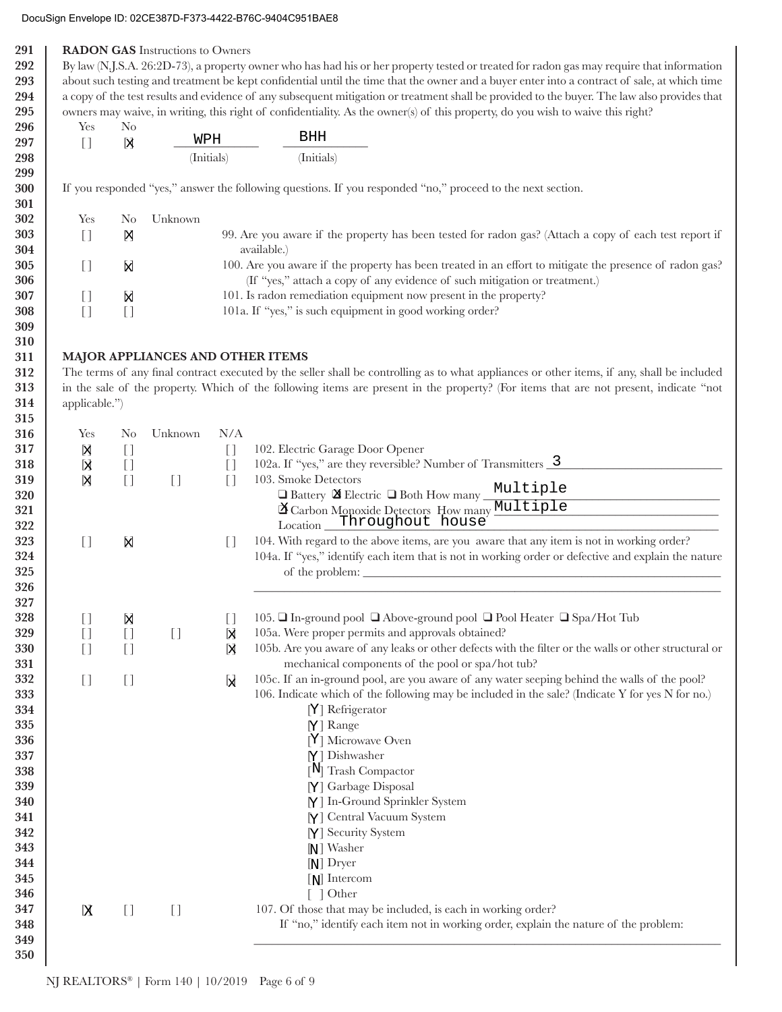| 291 | <b>RADON GAS</b> Instructions to Owners                                                                                                      |                                     |                                        |                                   |                                                                                                                                             |  |  |  |
|-----|----------------------------------------------------------------------------------------------------------------------------------------------|-------------------------------------|----------------------------------------|-----------------------------------|---------------------------------------------------------------------------------------------------------------------------------------------|--|--|--|
| 292 |                                                                                                                                              |                                     |                                        |                                   | By law (N.J.S.A. 26:2D-73), a property owner who has had his or her property tested or treated for radon gas may require that information   |  |  |  |
| 293 | about such testing and treatment be kept confidential until the time that the owner and a buyer enter into a contract of sale, at which time |                                     |                                        |                                   |                                                                                                                                             |  |  |  |
| 294 | a copy of the test results and evidence of any subsequent mitigation or treatment shall be provided to the buyer. The law also provides that |                                     |                                        |                                   |                                                                                                                                             |  |  |  |
| 295 |                                                                                                                                              |                                     |                                        |                                   | owners may waive, in writing, this right of confidentiality. As the owner(s) of this property, do you wish to waive this right?             |  |  |  |
| 296 | Yes<br>N <sub>0</sub>                                                                                                                        |                                     |                                        |                                   |                                                                                                                                             |  |  |  |
| 297 |                                                                                                                                              | N                                   | WPH                                    |                                   | BHH                                                                                                                                         |  |  |  |
| 298 | $[ \ ]$                                                                                                                                      |                                     |                                        | (Initials)                        | (Initials)                                                                                                                                  |  |  |  |
| 299 |                                                                                                                                              |                                     |                                        |                                   |                                                                                                                                             |  |  |  |
|     |                                                                                                                                              |                                     |                                        |                                   | If you responded "yes," answer the following questions. If you responded "no," proceed to the next section.                                 |  |  |  |
| 300 |                                                                                                                                              |                                     |                                        |                                   |                                                                                                                                             |  |  |  |
| 301 |                                                                                                                                              |                                     |                                        |                                   |                                                                                                                                             |  |  |  |
| 302 | Yes                                                                                                                                          | N <sub>0</sub>                      | Unknown                                |                                   |                                                                                                                                             |  |  |  |
| 303 | $\begin{bmatrix} 1 \end{bmatrix}$                                                                                                            | 冈                                   |                                        |                                   | 99. Are you aware if the property has been tested for radon gas? (Attach a copy of each test report if                                      |  |  |  |
| 304 |                                                                                                                                              |                                     |                                        |                                   | available.)                                                                                                                                 |  |  |  |
| 305 | $[ \ ]$                                                                                                                                      | N                                   |                                        |                                   | 100. Are you aware if the property has been treated in an effort to mitigate the presence of radon gas?                                     |  |  |  |
| 306 |                                                                                                                                              |                                     |                                        |                                   | (If "yes," attach a copy of any evidence of such mitigation or treatment.)                                                                  |  |  |  |
| 307 | $[ \ ]$                                                                                                                                      | X                                   |                                        |                                   | 101. Is radon remediation equipment now present in the property?                                                                            |  |  |  |
| 308 | $[$                                                                                                                                          | $\begin{bmatrix} 1 \end{bmatrix}$   |                                        |                                   | 101a. If "yes," is such equipment in good working order?                                                                                    |  |  |  |
| 309 |                                                                                                                                              |                                     |                                        |                                   |                                                                                                                                             |  |  |  |
| 310 |                                                                                                                                              |                                     |                                        |                                   |                                                                                                                                             |  |  |  |
| 311 |                                                                                                                                              |                                     | MAJOR APPLIANCES AND OTHER ITEMS       |                                   |                                                                                                                                             |  |  |  |
| 312 |                                                                                                                                              |                                     |                                        |                                   | The terms of any final contract executed by the seller shall be controlling as to what appliances or other items, if any, shall be included |  |  |  |
| 313 |                                                                                                                                              |                                     |                                        |                                   | in the sale of the property. Which of the following items are present in the property? (For items that are not present, indicate "not       |  |  |  |
| 314 | applicable.")                                                                                                                                |                                     |                                        |                                   |                                                                                                                                             |  |  |  |
|     |                                                                                                                                              |                                     |                                        |                                   |                                                                                                                                             |  |  |  |
| 315 |                                                                                                                                              |                                     |                                        |                                   |                                                                                                                                             |  |  |  |
| 316 | Yes                                                                                                                                          | N <sub>o</sub>                      | Unknown                                | N/A                               |                                                                                                                                             |  |  |  |
| 317 | Ŋ                                                                                                                                            | $\begin{bmatrix} 1 \end{bmatrix}$   |                                        | $\begin{bmatrix} 1 \end{bmatrix}$ | 102. Electric Garage Door Opener                                                                                                            |  |  |  |
| 318 | kļ                                                                                                                                           | $[ \ ]$                             |                                        | $[$                               | 102a. If "yes," are they reversible? Number of Transmitters $\frac{3}{2}$                                                                   |  |  |  |
| 319 | 冈                                                                                                                                            | $[ \ ]$                             | $\begin{array}{c} \square \end{array}$ | $\lceil$                          | 103. Smoke Detectors<br>Multiple                                                                                                            |  |  |  |
| 320 |                                                                                                                                              |                                     |                                        |                                   | $\Box$ Battery $\boxtimes$ Electric $\Box$ Both How many                                                                                    |  |  |  |
| 321 |                                                                                                                                              |                                     |                                        |                                   | <sup>2</sup> Carbon Monoxide Detectors How many <b>Multiple</b>                                                                             |  |  |  |
| 322 |                                                                                                                                              |                                     |                                        |                                   | Throughout house<br>Location                                                                                                                |  |  |  |
| 323 | $[ \ ]$                                                                                                                                      | X                                   |                                        | $\Box$                            | 104. With regard to the above items, are you aware that any item is not in working order?                                                   |  |  |  |
| 324 |                                                                                                                                              |                                     |                                        |                                   | 104a. If "yes," identify each item that is not in working order or defective and explain the nature                                         |  |  |  |
| 325 |                                                                                                                                              |                                     |                                        |                                   |                                                                                                                                             |  |  |  |
| 326 |                                                                                                                                              |                                     |                                        |                                   |                                                                                                                                             |  |  |  |
| 327 |                                                                                                                                              |                                     |                                        |                                   |                                                                                                                                             |  |  |  |
| 328 | $\begin{bmatrix} 1 \end{bmatrix}$                                                                                                            | X                                   |                                        | $[ \ ]$                           | 105. □ In-ground pool □ Above-ground pool □ Pool Heater □ Spa/Hot Tub                                                                       |  |  |  |
| 329 | $[ \ ]$                                                                                                                                      | $\left[\!\left[ \ \right]\!\right]$ | $[$                                    | X                                 | 105a. Were proper permits and approvals obtained?                                                                                           |  |  |  |
| 330 | $[ \ ]$                                                                                                                                      | $\left[\!\left[ \right]\!\right]$   |                                        | X                                 | 105b. Are you aware of any leaks or other defects with the filter or the walls or other structural or                                       |  |  |  |
| 331 |                                                                                                                                              |                                     |                                        |                                   | mechanical components of the pool or spa/hot tub?                                                                                           |  |  |  |
| 332 | $[ \ ]$                                                                                                                                      | $[ \ ]$                             |                                        |                                   | 105c. If an in-ground pool, are you aware of any water seeping behind the walls of the pool?                                                |  |  |  |
| 333 |                                                                                                                                              |                                     |                                        | Ы                                 | 106. Indicate which of the following may be included in the sale? (Indicate Y for yes N for no.)                                            |  |  |  |
| 334 |                                                                                                                                              |                                     |                                        |                                   | [Y] Refrigerator                                                                                                                            |  |  |  |
|     |                                                                                                                                              |                                     |                                        |                                   |                                                                                                                                             |  |  |  |
| 335 |                                                                                                                                              |                                     |                                        |                                   | $[Y]$ Range                                                                                                                                 |  |  |  |
| 336 |                                                                                                                                              |                                     |                                        |                                   | [Y] Microwave Oven                                                                                                                          |  |  |  |
| 337 |                                                                                                                                              |                                     |                                        |                                   | $[Y]$ Dishwasher                                                                                                                            |  |  |  |
| 338 |                                                                                                                                              |                                     |                                        |                                   | $[N]$ Trash Compactor                                                                                                                       |  |  |  |
| 339 |                                                                                                                                              |                                     |                                        |                                   | [Y] Garbage Disposal                                                                                                                        |  |  |  |
| 340 |                                                                                                                                              |                                     |                                        |                                   | [Y] In-Ground Sprinkler System                                                                                                              |  |  |  |
| 341 |                                                                                                                                              |                                     |                                        |                                   | [Y] Central Vacuum System                                                                                                                   |  |  |  |
| 342 |                                                                                                                                              |                                     |                                        |                                   | [Y] Security System                                                                                                                         |  |  |  |
| 343 |                                                                                                                                              |                                     |                                        |                                   | $N$ ] Washer                                                                                                                                |  |  |  |
| 344 |                                                                                                                                              |                                     |                                        |                                   | $[N]$ Dryer                                                                                                                                 |  |  |  |
| 345 |                                                                                                                                              |                                     |                                        |                                   | $[N]$ Intercom                                                                                                                              |  |  |  |
| 346 |                                                                                                                                              |                                     |                                        |                                   | $\lceil$   Other                                                                                                                            |  |  |  |
| 347 | [X                                                                                                                                           | $[ \ ]$                             | $\begin{bmatrix} 1 \end{bmatrix}$      |                                   | 107. Of those that may be included, is each in working order?                                                                               |  |  |  |
| 348 |                                                                                                                                              |                                     |                                        |                                   | If "no," identify each item not in working order, explain the nature of the problem:                                                        |  |  |  |
| 349 |                                                                                                                                              |                                     |                                        |                                   |                                                                                                                                             |  |  |  |
| 350 |                                                                                                                                              |                                     |                                        |                                   |                                                                                                                                             |  |  |  |
|     |                                                                                                                                              |                                     |                                        |                                   |                                                                                                                                             |  |  |  |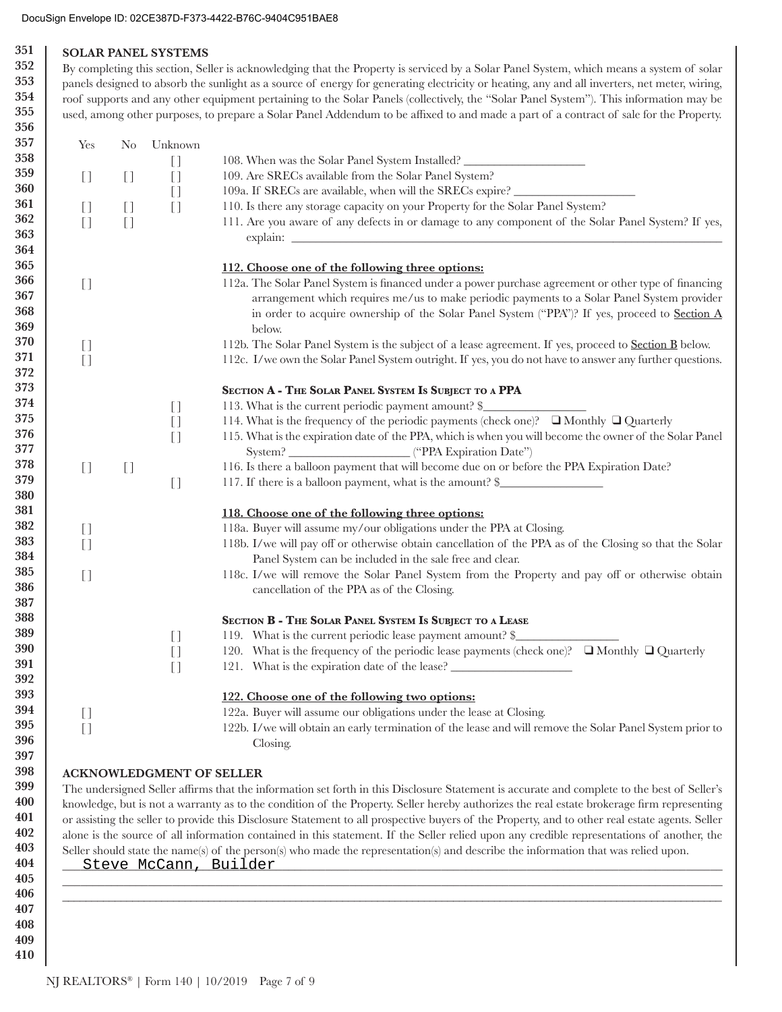#### **351 352 SOLAR PANEL SYSTEMS**

**353 354 355** By completing this section, Seller is acknowledging that the Property is serviced by a Solar Panel System, which means a system of solar panels designed to absorb the sunlight as a source of energy for generating electricity or heating, any and all inverters, net meter, wiring, roof supports and any other equipment pertaining to the Solar Panels (collectively, the "Solar Panel System"). This information may be used, among other purposes, to prepare a Solar Panel Addendum to be affixed to and made a part of a contract of sale for the Property.

| Unknown                                  |                                                                                                                                                                                                                                                                                                                       |
|------------------------------------------|-----------------------------------------------------------------------------------------------------------------------------------------------------------------------------------------------------------------------------------------------------------------------------------------------------------------------|
| $[ \ ]$                                  | 108. When was the Solar Panel System Installed?                                                                                                                                                                                                                                                                       |
|                                          | 109. Are SRECs available from the Solar Panel System?                                                                                                                                                                                                                                                                 |
|                                          | 109a. If SRECs are available, when will the SRECs expire? _______________________                                                                                                                                                                                                                                     |
|                                          | 110. Is there any storage capacity on your Property for the Solar Panel System?                                                                                                                                                                                                                                       |
|                                          | 111. Are you aware of any defects in or damage to any component of the Solar Panel System? If yes,                                                                                                                                                                                                                    |
|                                          |                                                                                                                                                                                                                                                                                                                       |
|                                          | 112. Choose one of the following three options:                                                                                                                                                                                                                                                                       |
|                                          | 112a. The Solar Panel System is financed under a power purchase agreement or other type of financing<br>arrangement which requires me/us to make periodic payments to a Solar Panel System provider<br>in order to acquire ownership of the Solar Panel System ("PPA")? If yes, proceed to <b>Section A</b><br>below. |
|                                          | 112b. The Solar Panel System is the subject of a lease agreement. If yes, proceed to <b>Section B</b> below.                                                                                                                                                                                                          |
|                                          | 112c. I/we own the Solar Panel System outright. If yes, you do not have to answer any further questions.                                                                                                                                                                                                              |
|                                          | SECTION A - THE SOLAR PANEL SYSTEM IS SUBJECT TO A PPA                                                                                                                                                                                                                                                                |
| $\begin{array}{c} \square \end{array}$   | 113. What is the current periodic payment amount? \$                                                                                                                                                                                                                                                                  |
| $[ \ ]$<br>$[ \ ]$                       | 114. What is the frequency of the periodic payments (check one)? ■ Monthly ■ Quarterly<br>115. What is the expiration date of the PPA, which is when you will become the owner of the Solar Panel                                                                                                                     |
|                                          |                                                                                                                                                                                                                                                                                                                       |
|                                          | 116. Is there a balloon payment that will become due on or before the PPA Expiration Date?                                                                                                                                                                                                                            |
|                                          | 117. If there is a balloon payment, what is the amount? \$                                                                                                                                                                                                                                                            |
|                                          | 118. Choose one of the following three options:                                                                                                                                                                                                                                                                       |
|                                          | 118a. Buyer will assume my/our obligations under the PPA at Closing.                                                                                                                                                                                                                                                  |
|                                          | 118b. I/we will pay off or otherwise obtain cancellation of the PPA as of the Closing so that the Solar                                                                                                                                                                                                               |
|                                          | Panel System can be included in the sale free and clear.                                                                                                                                                                                                                                                              |
|                                          | 118c. I/we will remove the Solar Panel System from the Property and pay off or otherwise obtain<br>cancellation of the PPA as of the Closing.                                                                                                                                                                         |
|                                          |                                                                                                                                                                                                                                                                                                                       |
|                                          | SECTION B - THE SOLAR PANEL SYSTEM IS SUBJECT TO A LEASE                                                                                                                                                                                                                                                              |
| $\begin{array}{c} \square \end{array}$   | 119. What is the current periodic lease payment amount? \$                                                                                                                                                                                                                                                            |
| $[$                                      | 120. What is the frequency of the periodic lease payments (check one)? $\Box$ Monthly $\Box$ Quarterly<br>121. What is the expiration date of the lease?                                                                                                                                                              |
|                                          | 122. Choose one of the following two options:                                                                                                                                                                                                                                                                         |
|                                          | 122a. Buyer will assume our obligations under the lease at Closing.                                                                                                                                                                                                                                                   |
|                                          | 122b. I/we will obtain an early termination of the lease and will remove the Solar Panel System prior to                                                                                                                                                                                                              |
|                                          |                                                                                                                                                                                                                                                                                                                       |
| $[ \ ]$<br>$[ \ ]$<br>$[ \ ]$<br>$[ \ ]$ | $[ \ ]$<br>$[ \ ]$<br>$\begin{bmatrix} 1 \end{bmatrix}$<br>$[ \ ]$<br>$\begin{array}{c} \square \end{array}$                                                                                                                                                                                                          |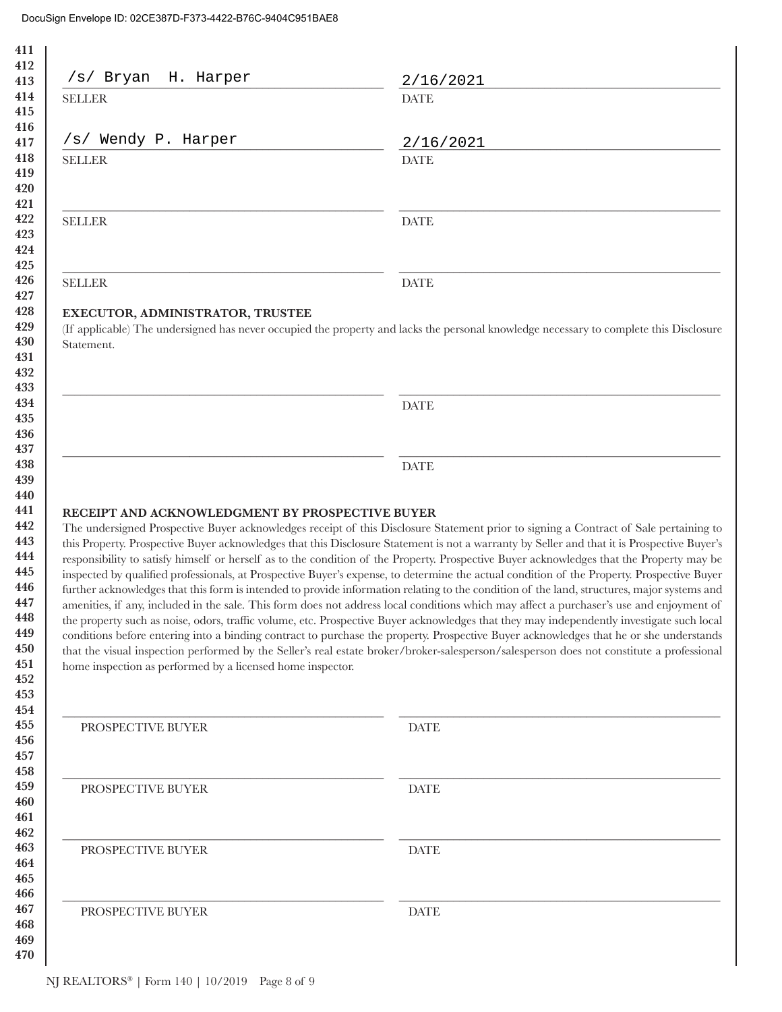| H. Harper<br>/s/ Bryan                                                                                        | 2/16/2021                                                                                                                                                                                                                                                                                                                                                                                                                                                                                                                                                                                                                                                                                                                                                                                                                                                                                                                                                                                                                                                                                                                                                                                                                                                                                                      |
|---------------------------------------------------------------------------------------------------------------|----------------------------------------------------------------------------------------------------------------------------------------------------------------------------------------------------------------------------------------------------------------------------------------------------------------------------------------------------------------------------------------------------------------------------------------------------------------------------------------------------------------------------------------------------------------------------------------------------------------------------------------------------------------------------------------------------------------------------------------------------------------------------------------------------------------------------------------------------------------------------------------------------------------------------------------------------------------------------------------------------------------------------------------------------------------------------------------------------------------------------------------------------------------------------------------------------------------------------------------------------------------------------------------------------------------|
| <b>SELLER</b>                                                                                                 | <b>DATE</b>                                                                                                                                                                                                                                                                                                                                                                                                                                                                                                                                                                                                                                                                                                                                                                                                                                                                                                                                                                                                                                                                                                                                                                                                                                                                                                    |
| /s/ Wendy P. Harper                                                                                           | 2/16/2021                                                                                                                                                                                                                                                                                                                                                                                                                                                                                                                                                                                                                                                                                                                                                                                                                                                                                                                                                                                                                                                                                                                                                                                                                                                                                                      |
| <b>SELLER</b>                                                                                                 | <b>DATE</b>                                                                                                                                                                                                                                                                                                                                                                                                                                                                                                                                                                                                                                                                                                                                                                                                                                                                                                                                                                                                                                                                                                                                                                                                                                                                                                    |
| <b>SELLER</b>                                                                                                 | <b>DATE</b>                                                                                                                                                                                                                                                                                                                                                                                                                                                                                                                                                                                                                                                                                                                                                                                                                                                                                                                                                                                                                                                                                                                                                                                                                                                                                                    |
| <b>SELLER</b>                                                                                                 | <b>DATE</b>                                                                                                                                                                                                                                                                                                                                                                                                                                                                                                                                                                                                                                                                                                                                                                                                                                                                                                                                                                                                                                                                                                                                                                                                                                                                                                    |
| EXECUTOR, ADMINISTRATOR, TRUSTEE<br>Statement.                                                                | (If applicable) The undersigned has never occupied the property and lacks the personal knowledge necessary to complete this Disclosure                                                                                                                                                                                                                                                                                                                                                                                                                                                                                                                                                                                                                                                                                                                                                                                                                                                                                                                                                                                                                                                                                                                                                                         |
|                                                                                                               | <b>DATE</b>                                                                                                                                                                                                                                                                                                                                                                                                                                                                                                                                                                                                                                                                                                                                                                                                                                                                                                                                                                                                                                                                                                                                                                                                                                                                                                    |
|                                                                                                               |                                                                                                                                                                                                                                                                                                                                                                                                                                                                                                                                                                                                                                                                                                                                                                                                                                                                                                                                                                                                                                                                                                                                                                                                                                                                                                                |
|                                                                                                               | <b>DATE</b>                                                                                                                                                                                                                                                                                                                                                                                                                                                                                                                                                                                                                                                                                                                                                                                                                                                                                                                                                                                                                                                                                                                                                                                                                                                                                                    |
| RECEIPT AND ACKNOWLEDGMENT BY PROSPECTIVE BUYER<br>home inspection as performed by a licensed home inspector. | The undersigned Prospective Buyer acknowledges receipt of this Disclosure Statement prior to signing a Contract of Sale pertaining to<br>this Property. Prospective Buyer acknowledges that this Disclosure Statement is not a warranty by Seller and that it is Prospective Buyer's<br>responsibility to satisfy himself or herself as to the condition of the Property. Prospective Buyer acknowledges that the Property may be<br>inspected by qualified professionals, at Prospective Buyer's expense, to determine the actual condition of the Property. Prospective Buyer<br>further acknowledges that this form is intended to provide information relating to the condition of the land, structures, major systems and<br>amenities, if any, included in the sale. This form does not address local conditions which may affect a purchaser's use and enjoyment of<br>the property such as noise, odors, traffic volume, etc. Prospective Buyer acknowledges that they may independently investigate such local<br>conditions before entering into a binding contract to purchase the property. Prospective Buyer acknowledges that he or she understands<br>that the visual inspection performed by the Seller's real estate broker/broker-salesperson/salesperson does not constitute a professional |
| PROSPECTIVE BUYER                                                                                             | <b>DATE</b>                                                                                                                                                                                                                                                                                                                                                                                                                                                                                                                                                                                                                                                                                                                                                                                                                                                                                                                                                                                                                                                                                                                                                                                                                                                                                                    |
| PROSPECTIVE BUYER                                                                                             | <b>DATE</b>                                                                                                                                                                                                                                                                                                                                                                                                                                                                                                                                                                                                                                                                                                                                                                                                                                                                                                                                                                                                                                                                                                                                                                                                                                                                                                    |
| PROSPECTIVE BUYER                                                                                             | DATE                                                                                                                                                                                                                                                                                                                                                                                                                                                                                                                                                                                                                                                                                                                                                                                                                                                                                                                                                                                                                                                                                                                                                                                                                                                                                                           |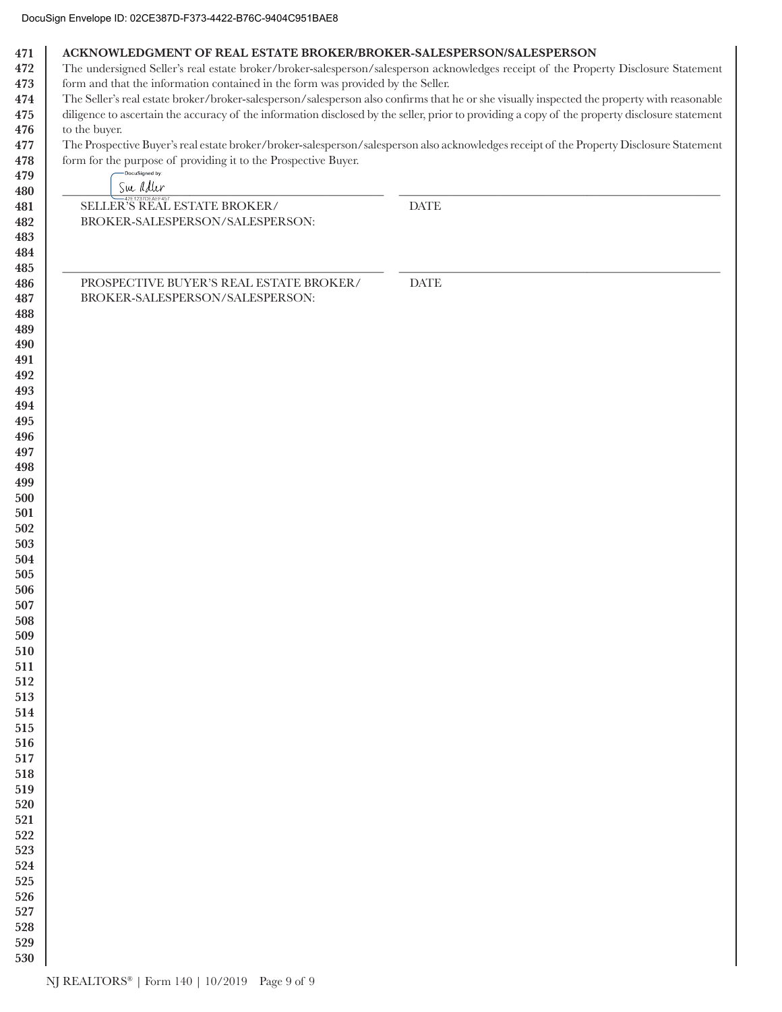| 471        | ACKNOWLEDGMENT OF REAL ESTATE BROKER/BROKER-SALESPERSON/SALESPERSON              |                                                                                                                                                |
|------------|----------------------------------------------------------------------------------|------------------------------------------------------------------------------------------------------------------------------------------------|
| 472        |                                                                                  | The undersigned Seller's real estate broker/broker-salesperson/salesperson acknowledges receipt of the Property Disclosure Statement           |
| 473<br>474 | form and that the information contained in the form was provided by the Seller.  | The Seller's real estate broker/broker-salesperson/salesperson also confirms that he or she visually inspected the property with reasonable    |
| 475        |                                                                                  | diligence to ascertain the accuracy of the information disclosed by the seller, prior to providing a copy of the property disclosure statement |
| 476        | to the buyer.                                                                    |                                                                                                                                                |
| 477        |                                                                                  | The Prospective Buyer's real estate broker/broker-salesperson/salesperson also acknowledges receipt of the Property Disclosure Statement       |
| 478        | form for the purpose of providing it to the Prospective Buyer.<br>DocuSigned by: |                                                                                                                                                |
| 479        | Sue adler                                                                        |                                                                                                                                                |
| 480<br>481 | SELLER'S REAL ESTATE BROKER/                                                     | <b>DATE</b>                                                                                                                                    |
| 482        | BROKER-SALESPERSON/SALESPERSON:                                                  |                                                                                                                                                |
| 483        |                                                                                  |                                                                                                                                                |
| 484        |                                                                                  |                                                                                                                                                |
| 485        |                                                                                  |                                                                                                                                                |
| 486        | PROSPECTIVE BUYER'S REAL ESTATE BROKER/                                          | <b>DATE</b>                                                                                                                                    |
| 487        | BROKER-SALESPERSON/SALESPERSON:                                                  |                                                                                                                                                |
| 488        |                                                                                  |                                                                                                                                                |
| 489        |                                                                                  |                                                                                                                                                |
| 490        |                                                                                  |                                                                                                                                                |
| 491<br>492 |                                                                                  |                                                                                                                                                |
| 493        |                                                                                  |                                                                                                                                                |
| 494        |                                                                                  |                                                                                                                                                |
| 495        |                                                                                  |                                                                                                                                                |
| 496        |                                                                                  |                                                                                                                                                |
| 497        |                                                                                  |                                                                                                                                                |
| 498        |                                                                                  |                                                                                                                                                |
| 499        |                                                                                  |                                                                                                                                                |
| 500        |                                                                                  |                                                                                                                                                |
| 501        |                                                                                  |                                                                                                                                                |
| 502<br>503 |                                                                                  |                                                                                                                                                |
| 504        |                                                                                  |                                                                                                                                                |
| 505        |                                                                                  |                                                                                                                                                |
| 506        |                                                                                  |                                                                                                                                                |
| 507        |                                                                                  |                                                                                                                                                |
| 508        |                                                                                  |                                                                                                                                                |
| 509        |                                                                                  |                                                                                                                                                |
| 510        |                                                                                  |                                                                                                                                                |
| 511        |                                                                                  |                                                                                                                                                |
| 512<br>513 |                                                                                  |                                                                                                                                                |
| 514        |                                                                                  |                                                                                                                                                |
| 515        |                                                                                  |                                                                                                                                                |
| 516        |                                                                                  |                                                                                                                                                |
| 517        |                                                                                  |                                                                                                                                                |
| 518        |                                                                                  |                                                                                                                                                |
| 519        |                                                                                  |                                                                                                                                                |
| 520        |                                                                                  |                                                                                                                                                |
| 521        |                                                                                  |                                                                                                                                                |
| 522<br>523 |                                                                                  |                                                                                                                                                |
| 524        |                                                                                  |                                                                                                                                                |
| 525        |                                                                                  |                                                                                                                                                |
| 526        |                                                                                  |                                                                                                                                                |
| 527        |                                                                                  |                                                                                                                                                |
| 528        |                                                                                  |                                                                                                                                                |
| 529        |                                                                                  |                                                                                                                                                |
| 530        |                                                                                  |                                                                                                                                                |